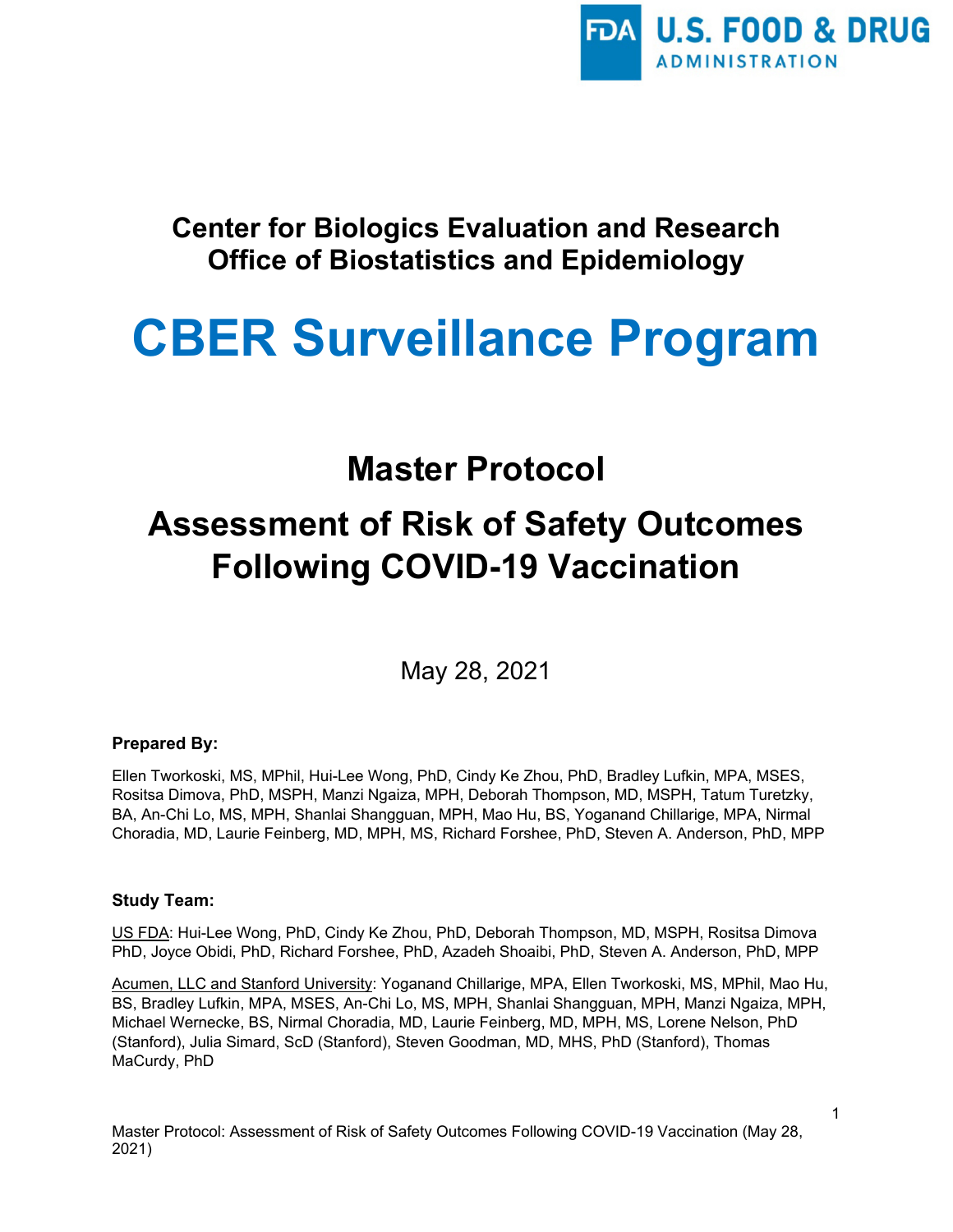

# **Center for Biologics Evaluation and Research Office of Biostatistics and Epidemiology**

# **CBER Surveillance Program**

# **Master Protocol**

# **Assessment of Risk of Safety Outcomes Following COVID-19 Vaccination**

May 28, 2021

#### **Prepared By:**

Ellen Tworkoski, MS, MPhil, Hui-Lee Wong, PhD, Cindy Ke Zhou, PhD, Bradley Lufkin, MPA, MSES, Rositsa Dimova, PhD, MSPH, Manzi Ngaiza, MPH, Deborah Thompson, MD, MSPH, Tatum Turetzky, BA, An-Chi Lo, MS, MPH, Shanlai Shangguan, MPH, Mao Hu, BS, Yoganand Chillarige, MPA, Nirmal Choradia, MD, Laurie Feinberg, MD, MPH, MS, Richard Forshee, PhD, Steven A. Anderson, PhD, MPP

#### **Study Team:**

US FDA: Hui-Lee Wong, PhD, Cindy Ke Zhou, PhD, Deborah Thompson, MD, MSPH, Rositsa Dimova PhD, Joyce Obidi, PhD, Richard Forshee, PhD, Azadeh Shoaibi, PhD, Steven A. Anderson, PhD, MPP

Acumen, LLC and Stanford University: Yoganand Chillarige, MPA, Ellen Tworkoski, MS, MPhil, Mao Hu, BS, Bradley Lufkin, MPA, MSES, An-Chi Lo, MS, MPH, Shanlai Shangguan, MPH, Manzi Ngaiza, MPH, Michael Wernecke, BS, Nirmal Choradia, MD, Laurie Feinberg, MD, MPH, MS, Lorene Nelson, PhD (Stanford), Julia Simard, ScD (Stanford), Steven Goodman, MD, MHS, PhD (Stanford), Thomas MaCurdy, PhD

Master Protocol: Assessment of Risk of Safety Outcomes Following COVID-19 Vaccination (May 28, 2021)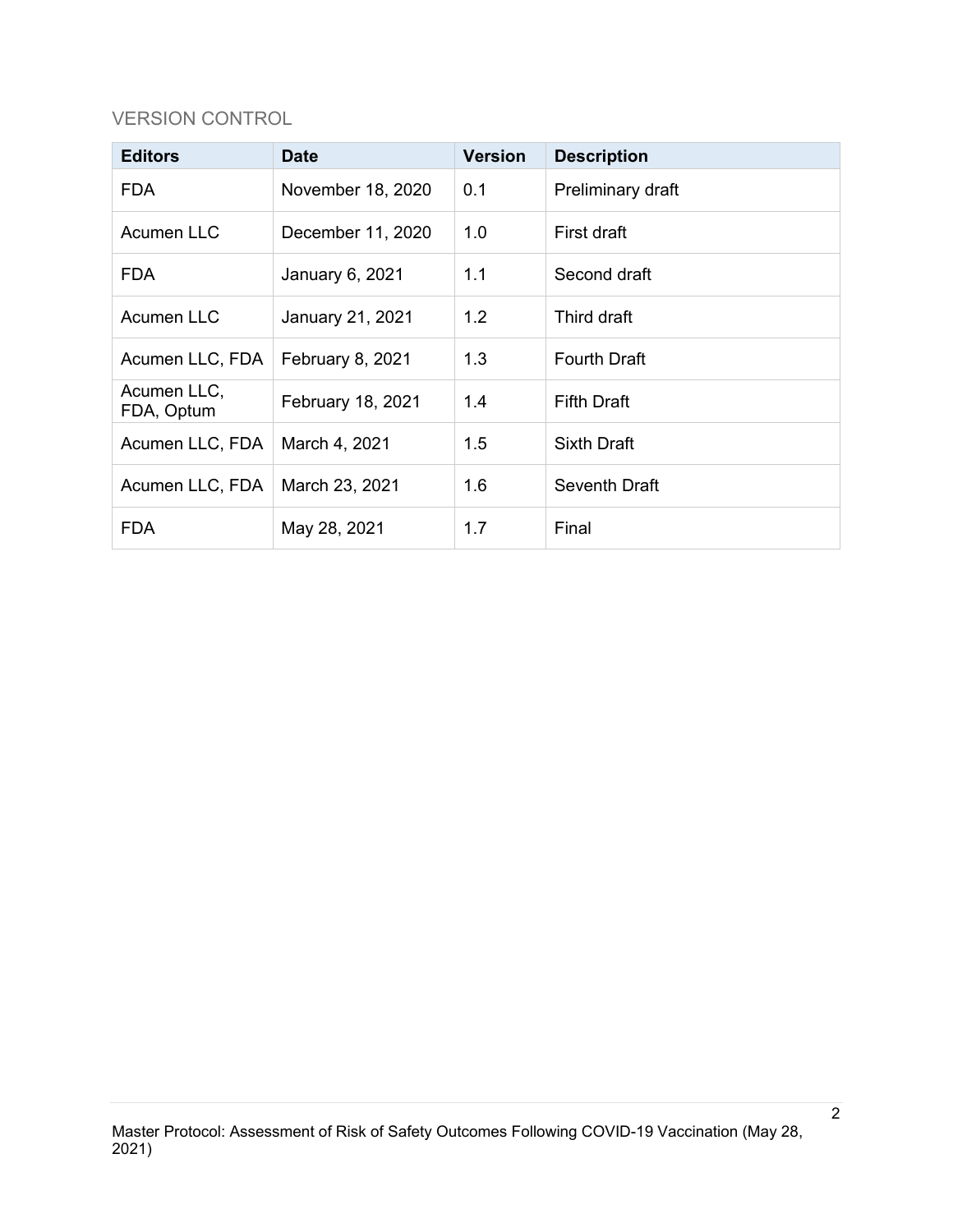# VERSION CONTROL

| <b>Editors</b>            | <b>Date</b>       | <b>Version</b> | <b>Description</b>  |
|---------------------------|-------------------|----------------|---------------------|
| <b>FDA</b>                | November 18, 2020 | 0.1            | Preliminary draft   |
| <b>Acumen LLC</b>         | December 11, 2020 | 1.0            | First draft         |
| <b>FDA</b>                | January 6, 2021   | 1.1            | Second draft        |
| Acumen LLC                | January 21, 2021  | 1.2            | Third draft         |
| Acumen LLC, FDA           | February 8, 2021  | 1.3            | <b>Fourth Draft</b> |
| Acumen LLC,<br>FDA, Optum | February 18, 2021 | 1.4            | <b>Fifth Draft</b>  |
| Acumen LLC, FDA           | March 4, 2021     | 1.5            | <b>Sixth Draft</b>  |
| Acumen LLC, FDA           | March 23, 2021    | 1.6            | Seventh Draft       |
| <b>FDA</b>                | May 28, 2021      | 1.7            | Final               |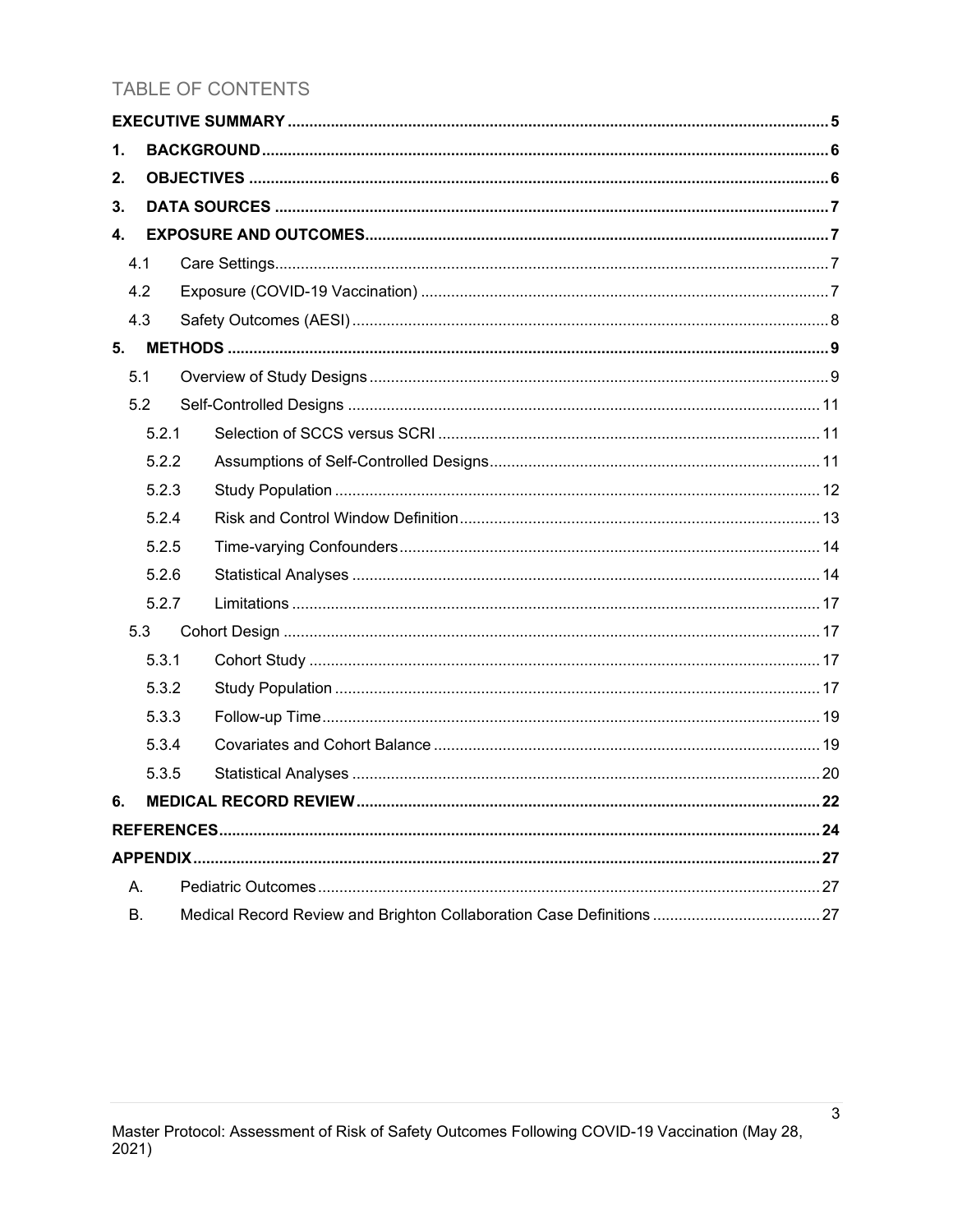# **TABLE OF CONTENTS**

| 1. |       |  |
|----|-------|--|
| 2. |       |  |
| 3. |       |  |
| 4. |       |  |
|    | 4.1   |  |
|    | 4.2   |  |
|    | 4.3   |  |
| 5. |       |  |
|    | 5.1   |  |
|    | 5.2   |  |
|    | 5.2.1 |  |
|    | 5.2.2 |  |
|    | 5.2.3 |  |
|    | 5.2.4 |  |
|    | 5.2.5 |  |
|    | 5.2.6 |  |
|    | 5.2.7 |  |
|    | 5.3   |  |
|    | 5.3.1 |  |
|    | 5.3.2 |  |
|    | 5.3.3 |  |
|    | 5.3.4 |  |
|    | 5.3.5 |  |
| 6. |       |  |
|    |       |  |
|    |       |  |
| А. |       |  |
| В. |       |  |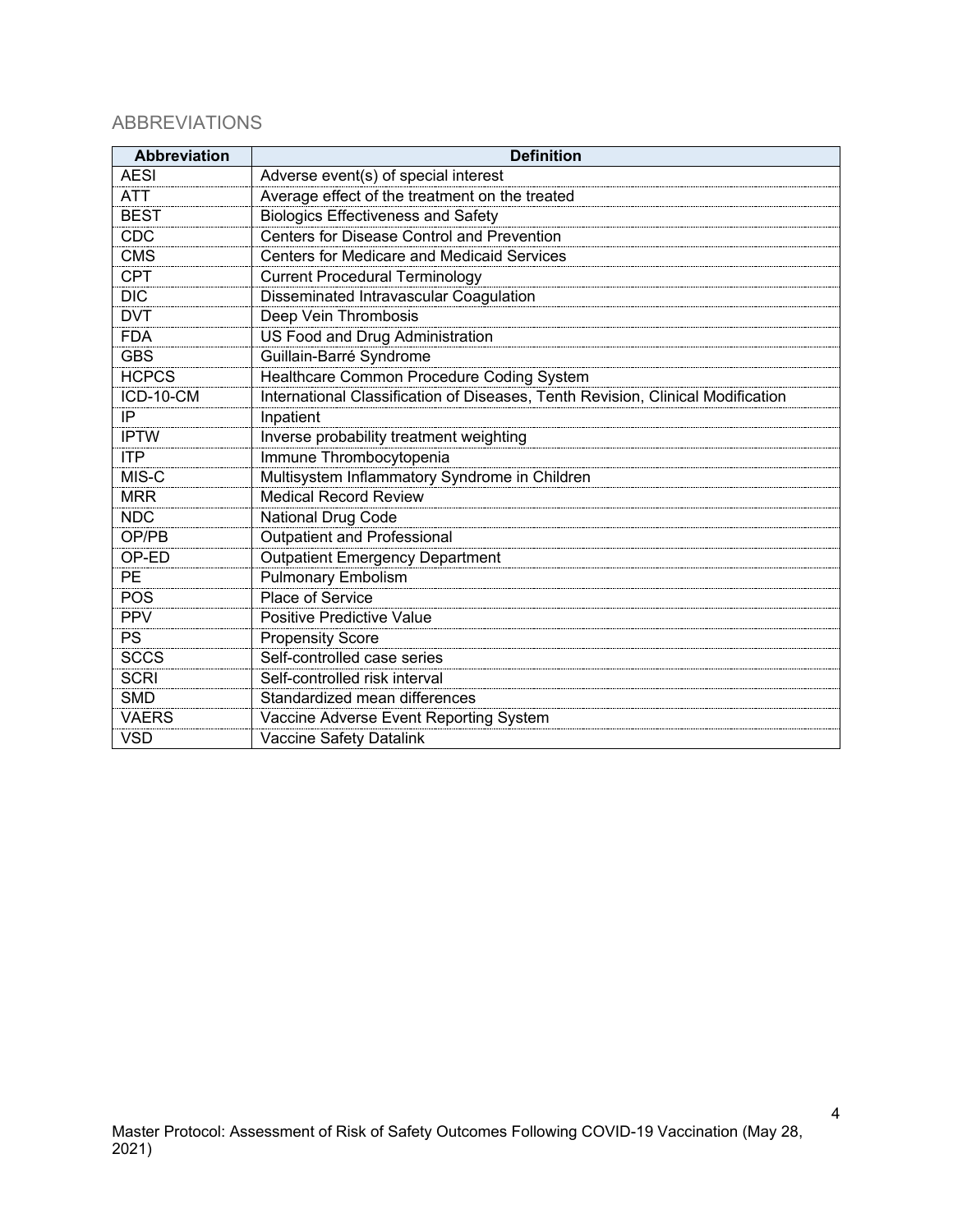# ABBREVIATIONS

| <b>Abbreviation</b> | <b>Definition</b>                                                               |
|---------------------|---------------------------------------------------------------------------------|
| <b>AESI</b>         | Adverse event(s) of special interest                                            |
| <b>ATT</b>          | Average effect of the treatment on the treated                                  |
| <b>BEST</b>         | <b>Biologics Effectiveness and Safety</b>                                       |
| <b>CDC</b>          | <b>Centers for Disease Control and Prevention</b>                               |
| <b>CMS</b>          | <b>Centers for Medicare and Medicaid Services</b>                               |
| <b>CPT</b>          | <b>Current Procedural Terminology</b>                                           |
| $\overline{DIC}$    | Disseminated Intravascular Coagulation                                          |
| <b>DVT</b>          | Deep Vein Thrombosis                                                            |
| <b>FDA</b>          | US Food and Drug Administration                                                 |
| <b>GBS</b>          | Guillain-Barré Syndrome                                                         |
| <b>HCPCS</b>        | Healthcare Common Procedure Coding System                                       |
| ICD-10-CM           | International Classification of Diseases, Tenth Revision, Clinical Modification |
| IP                  | Inpatient                                                                       |
| <b>IPTW</b>         | Inverse probability treatment weighting                                         |
| <b>ITP</b>          | Immune Thrombocytopenia                                                         |
| MIS-C               | Multisystem Inflammatory Syndrome in Children                                   |
| <b>MRR</b>          | <b>Medical Record Review</b>                                                    |
| <b>NDC</b>          | <b>National Drug Code</b>                                                       |
| OP/PB               | <b>Outpatient and Professional</b>                                              |
| OP-ED               | <b>Outpatient Emergency Department</b>                                          |
| PE                  | <b>Pulmonary Embolism</b>                                                       |
| POS                 | Place of Service                                                                |
| <b>PPV</b>          | Positive Predictive Value                                                       |
| PS                  | <b>Propensity Score</b>                                                         |
| <b>SCCS</b>         | Self-controlled case series                                                     |
| <b>SCRI</b>         | Self-controlled risk interval                                                   |
| <b>SMD</b>          | Standardized mean differences                                                   |
| <b>VAERS</b>        | Vaccine Adverse Event Reporting System                                          |
| <b>VSD</b>          | Vaccine Safety Datalink                                                         |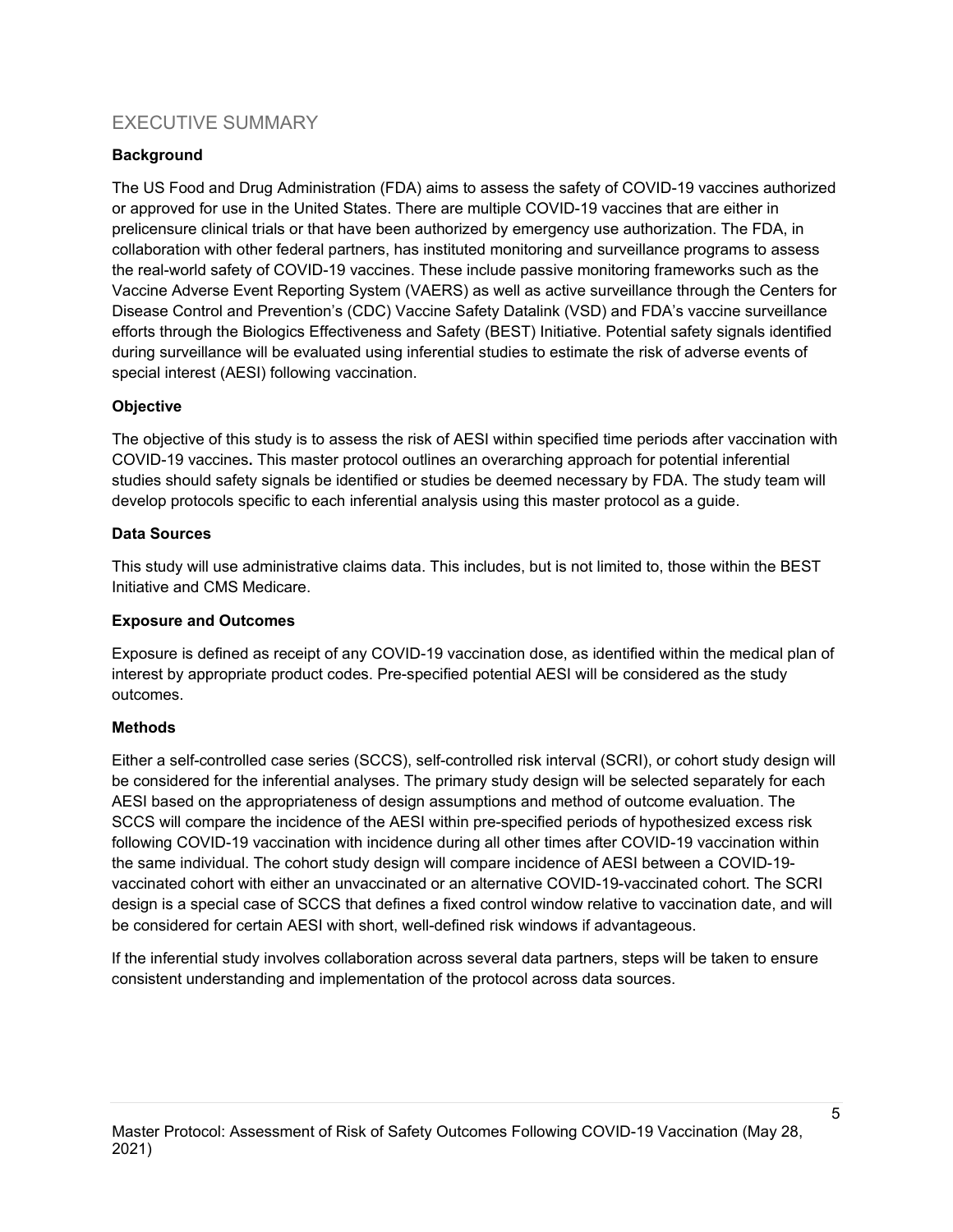# <span id="page-4-0"></span>EXECUTIVE SUMMARY

#### **Background**

The US Food and Drug Administration (FDA) aims to assess the safety of COVID-19 vaccines authorized or approved for use in the United States. There are multiple COVID-19 vaccines that are either in prelicensure clinical trials or that have been authorized by emergency use authorization. The FDA, in collaboration with other federal partners, has instituted monitoring and surveillance programs to assess the real-world safety of COVID-19 vaccines. These include passive monitoring frameworks such as the Vaccine Adverse Event Reporting System (VAERS) as well as active surveillance through the Centers for Disease Control and Prevention's (CDC) Vaccine Safety Datalink (VSD) and FDA's vaccine surveillance efforts through the Biologics Effectiveness and Safety (BEST) Initiative. Potential safety signals identified during surveillance will be evaluated using inferential studies to estimate the risk of adverse events of special interest (AESI) following vaccination.

#### **Objective**

The objective of this study is to assess the risk of AESI within specified time periods after vaccination with COVID-19 vaccines**.** This master protocol outlines an overarching approach for potential inferential studies should safety signals be identified or studies be deemed necessary by FDA. The study team will develop protocols specific to each inferential analysis using this master protocol as a guide.

#### **Data Sources**

This study will use administrative claims data. This includes, but is not limited to, those within the BEST Initiative and CMS Medicare.

#### **Exposure and Outcomes**

Exposure is defined as receipt of any COVID-19 vaccination dose, as identified within the medical plan of interest by appropriate product codes. Pre-specified potential AESI will be considered as the study outcomes.

#### **Methods**

Either a self-controlled case series (SCCS), self-controlled risk interval (SCRI), or cohort study design will be considered for the inferential analyses. The primary study design will be selected separately for each AESI based on the appropriateness of design assumptions and method of outcome evaluation. The SCCS will compare the incidence of the AESI within pre-specified periods of hypothesized excess risk following COVID-19 vaccination with incidence during all other times after COVID-19 vaccination within the same individual. The cohort study design will compare incidence of AESI between a COVID-19 vaccinated cohort with either an unvaccinated or an alternative COVID-19-vaccinated cohort. The SCRI design is a special case of SCCS that defines a fixed control window relative to vaccination date, and will be considered for certain AESI with short, well-defined risk windows if advantageous.

If the inferential study involves collaboration across several data partners, steps will be taken to ensure consistent understanding and implementation of the protocol across data sources.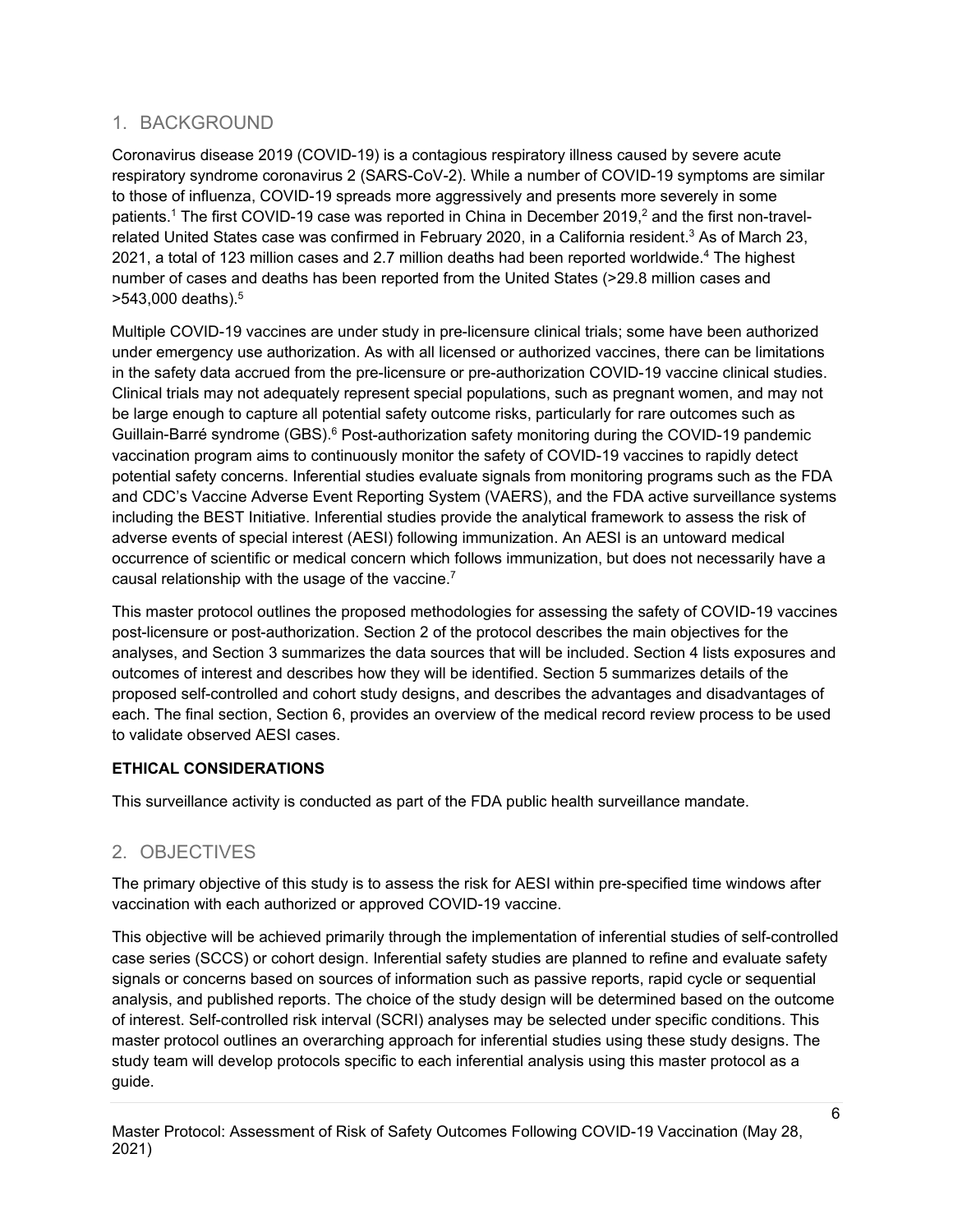# <span id="page-5-0"></span>1. BACKGROUND

Coronavirus disease 2019 (COVID-19) is a contagious respiratory illness caused by severe acute respiratory syndrome coronavirus 2 (SARS-CoV-2). While a number of COVID-19 symptoms are similar to those of influenza, COVID-19 spreads more aggressively and presents more severely in some patients. <sup>1</sup> The first COVID-19 case was reported in China in December 2019, <sup>2</sup> and the first non-travelrelated United States case was confirmed in February 2020, in a California resident.<sup>3</sup> As of March 23, 2021, a total of 123 million cases and 2.7 million deaths had been reported worldwide. <sup>4</sup> The highest number of cases and deaths has been reported from the United States (>29.8 million cases and >543,000 deaths). 5

Multiple COVID-19 vaccines are under study in pre-licensure clinical trials; some have been authorized under emergency use authorization. As with all licensed or authorized vaccines, there can be limitations in the safety data accrued from the pre-licensure or pre-authorization COVID-19 vaccine clinical studies. Clinical trials may not adequately represent special populations, such as pregnant women, and may not be large enough to capture all potential safety outcome risks, particularly for rare outcomes such as Guillain-Barré syndrome (GBS).<sup>6</sup> Post-authorization safety monitoring during the COVID-19 pandemic vaccination program aims to continuously monitor the safety of COVID-19 vaccines to rapidly detect potential safety concerns. Inferential studies evaluate signals from monitoring programs such as the FDA and CDC's Vaccine Adverse Event Reporting System (VAERS), and the FDA active surveillance systems including the BEST Initiative. Inferential studies provide the analytical framework to assess the risk of adverse events of special interest (AESI) following immunization. An AESI is an untoward medical occurrence of scientific or medical concern which follows immunization, but does not necessarily have a causal relationship with the usage of the vaccine.<sup>7</sup>

This master protocol outlines the proposed methodologies for assessing the safety of COVID-19 vaccines post-licensure or post-authorization. Section 2 of the protocol describes the main objectives for the analyses, and Section 3 summarizes the data sources that will be included. Section 4 lists exposures and outcomes of interest and describes how they will be identified. Section 5 summarizes details of the proposed self-controlled and cohort study designs, and describes the advantages and disadvantages of each. The final section, Section 6, provides an overview of the medical record review process to be used to validate observed AESI cases.

#### **ETHICAL CONSIDERATIONS**

This surveillance activity is conducted as part of the FDA public health surveillance mandate.

# <span id="page-5-1"></span>2. OBJECTIVES

The primary objective of this study is to assess the risk for AESI within pre-specified time windows after vaccination with each authorized or approved COVID-19 vaccine.

This objective will be achieved primarily through the implementation of inferential studies of self-controlled case series (SCCS) or cohort design. Inferential safety studies are planned to refine and evaluate safety signals or concerns based on sources of information such as passive reports, rapid cycle or sequential analysis, and published reports. The choice of the study design will be determined based on the outcome of interest. Self-controlled risk interval (SCRI) analyses may be selected under specific conditions. This master protocol outlines an overarching approach for inferential studies using these study designs. The study team will develop protocols specific to each inferential analysis using this master protocol as a guide.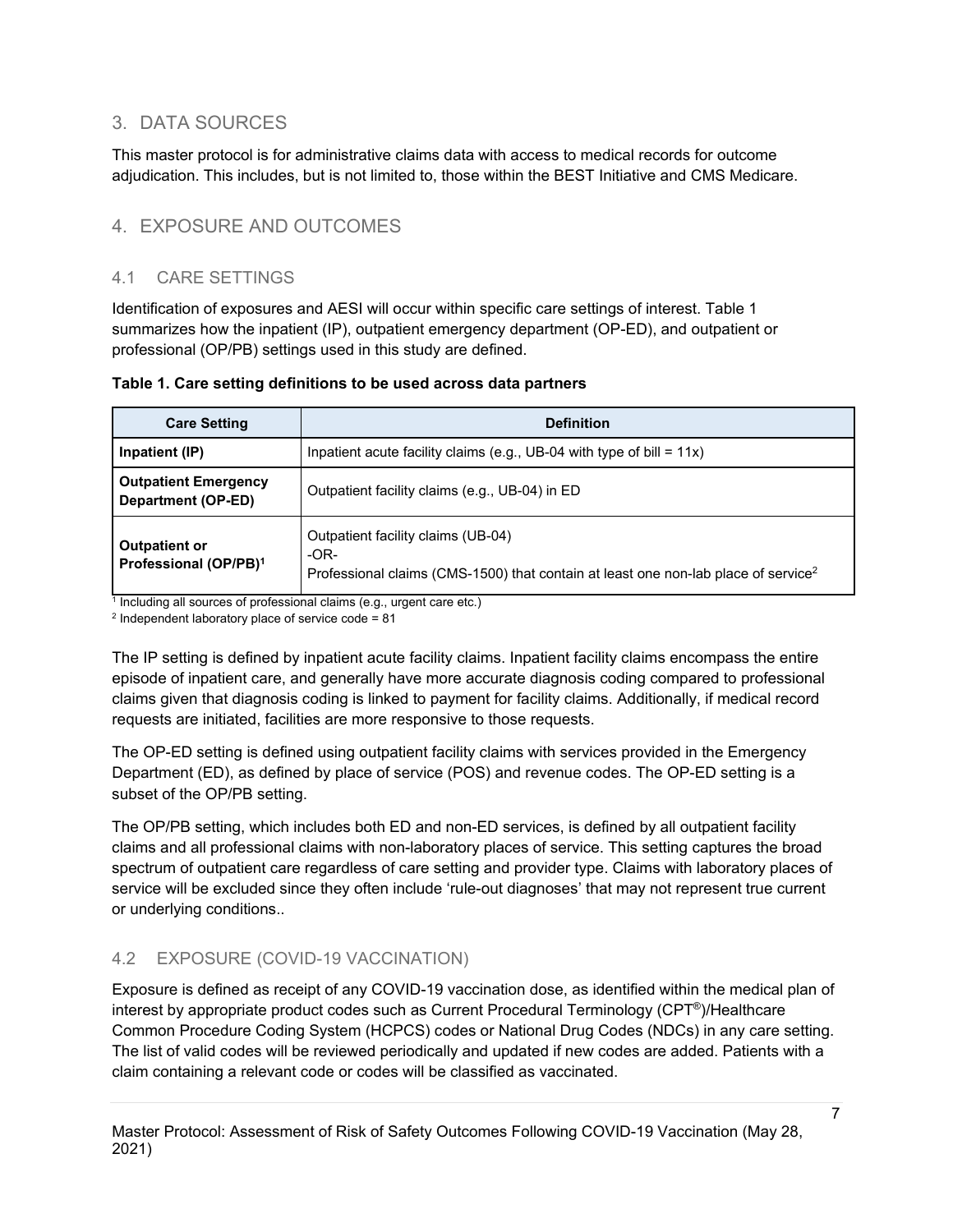# <span id="page-6-0"></span>3. DATA SOURCES

This master protocol is for administrative claims data with access to medical records for outcome adjudication. This includes, but is not limited to, those within the BEST Initiative and CMS Medicare.

# <span id="page-6-1"></span>4. EXPOSURE AND OUTCOMES

## <span id="page-6-2"></span>4.1 CARE SETTINGS

Identification of exposures and AESI will occur within specific care settings of interest. Table 1 summarizes how the inpatient (IP), outpatient emergency department (OP-ED), and outpatient or professional (OP/PB) settings used in this study are defined.

| <b>Care Setting</b>                                       | <b>Definition</b>                                                                                                                              |  |  |
|-----------------------------------------------------------|------------------------------------------------------------------------------------------------------------------------------------------------|--|--|
| Inpatient (IP)                                            | Inpatient acute facility claims (e.g., UB-04 with type of bill = $11x$ )                                                                       |  |  |
| <b>Outpatient Emergency</b><br>Department (OP-ED)         | Outpatient facility claims (e.g., UB-04) in ED                                                                                                 |  |  |
| <b>Outpatient or</b><br>Professional (OP/PB) <sup>1</sup> | Outpatient facility claims (UB-04)<br>$-OR-$<br>Professional claims (CMS-1500) that contain at least one non-lab place of service <sup>2</sup> |  |  |

#### **Table 1. Care setting definitions to be used across data partners**

 $1$  Including all sources of professional claims (e.g., urgent care etc.)

 $2$  Independent laboratory place of service code = 81

The IP setting is defined by inpatient acute facility claims. Inpatient facility claims encompass the entire episode of inpatient care, and generally have more accurate diagnosis coding compared to professional claims given that diagnosis coding is linked to payment for facility claims. Additionally, if medical record requests are initiated, facilities are more responsive to those requests.

The OP-ED setting is defined using outpatient facility claims with services provided in the Emergency Department (ED), as defined by place of service (POS) and revenue codes. The OP-ED setting is a subset of the OP/PB setting.

The OP/PB setting, which includes both ED and non-ED services, is defined by all outpatient facility claims and all professional claims with non-laboratory places of service. This setting captures the broad spectrum of outpatient care regardless of care setting and provider type. Claims with laboratory places of service will be excluded since they often include 'rule-out diagnoses' that may not represent true current or underlying conditions..

# <span id="page-6-3"></span>4.2 EXPOSURE (COVID-19 VACCINATION)

Exposure is defined as receipt of any COVID-19 vaccination dose, as identified within the medical plan of interest by appropriate product codes such as Current Procedural Terminology (CPT®)/Healthcare Common Procedure Coding System (HCPCS) codes or National Drug Codes (NDCs) in any care setting. The list of valid codes will be reviewed periodically and updated if new codes are added. Patients with a claim containing a relevant code or codes will be classified as vaccinated.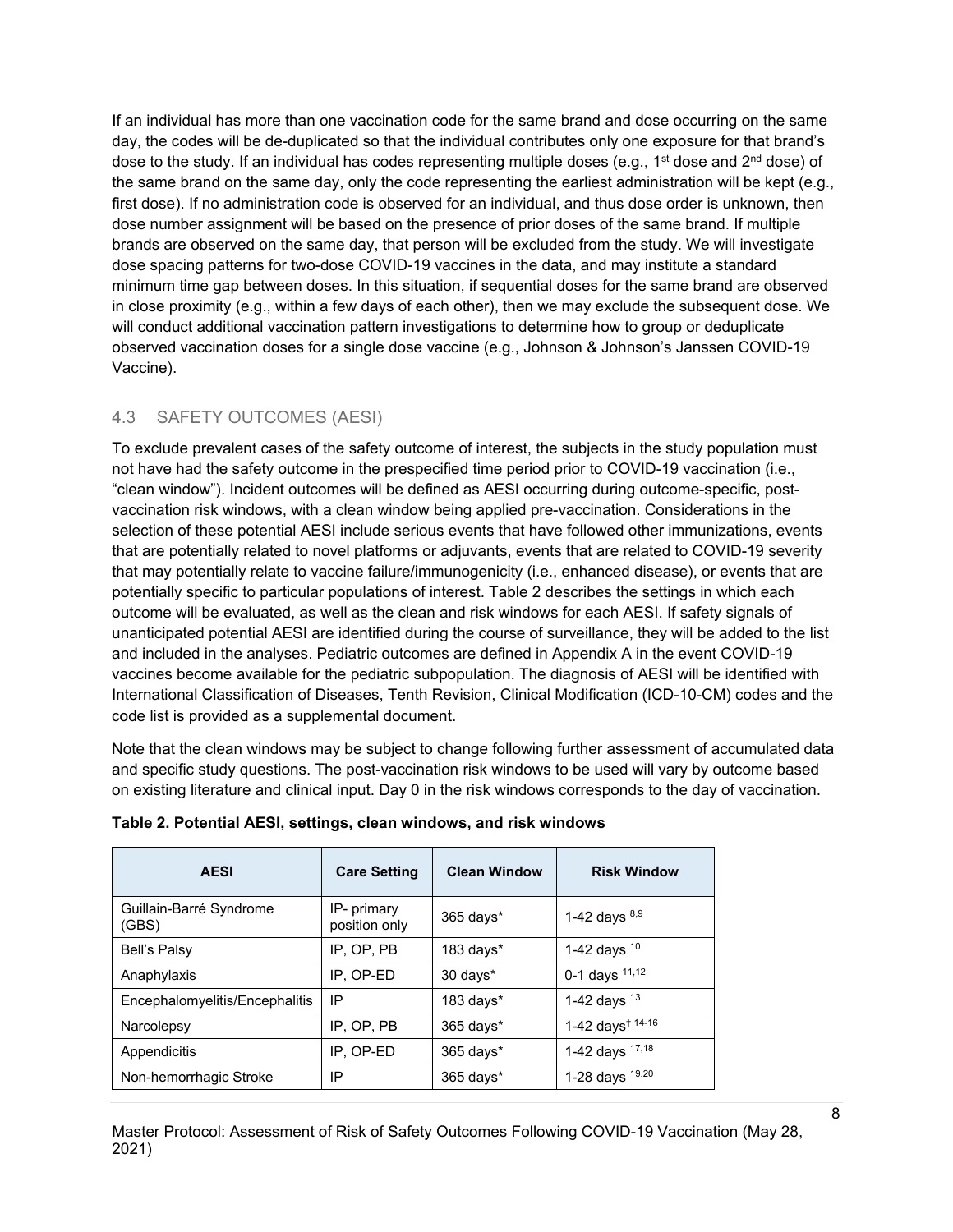If an individual has more than one vaccination code for the same brand and dose occurring on the same day, the codes will be de-duplicated so that the individual contributes only one exposure for that brand's dose to the study. If an individual has codes representing multiple doses (e.g., 1<sup>st</sup> dose and  $2^{nd}$  dose) of the same brand on the same day, only the code representing the earliest administration will be kept (e.g., first dose). If no administration code is observed for an individual, and thus dose order is unknown, then dose number assignment will be based on the presence of prior doses of the same brand. If multiple brands are observed on the same day, that person will be excluded from the study. We will investigate dose spacing patterns for two-dose COVID-19 vaccines in the data, and may institute a standard minimum time gap between doses. In this situation, if sequential doses for the same brand are observed in close proximity (e.g., within a few days of each other), then we may exclude the subsequent dose. We will conduct additional vaccination pattern investigations to determine how to group or deduplicate observed vaccination doses for a single dose vaccine (e.g., Johnson & Johnson's Janssen COVID-19 Vaccine).

# <span id="page-7-0"></span>4.3 SAFETY OUTCOMES (AESI)

To exclude prevalent cases of the safety outcome of interest, the subjects in the study population must not have had the safety outcome in the prespecified time period prior to COVID-19 vaccination (i.e., "clean window"). Incident outcomes will be defined as AESI occurring during outcome-specific, postvaccination risk windows, with a clean window being applied pre-vaccination. Considerations in the selection of these potential AESI include serious events that have followed other immunizations, events that are potentially related to novel platforms or adjuvants, events that are related to COVID-19 severity that may potentially relate to vaccine failure/immunogenicity (i.e., enhanced disease), or events that are potentially specific to particular populations of interest. Table 2 describes the settings in which each outcome will be evaluated, as well as the clean and risk windows for each AESI. If safety signals of unanticipated potential AESI are identified during the course of surveillance, they will be added to the list and included in the analyses. Pediatric outcomes are defined in Appendix A in the event COVID-19 vaccines become available for the pediatric subpopulation. The diagnosis of AESI will be identified with International Classification of Diseases, Tenth Revision, Clinical Modification (ICD-10-CM) codes and the code list is provided as a supplemental document.

Note that the clean windows may be subject to change following further assessment of accumulated data and specific study questions. The post-vaccination risk windows to be used will vary by outcome based on existing literature and clinical input. Day 0 in the risk windows corresponds to the day of vaccination.

| <b>AESI</b>                      | <b>Care Setting</b>          | <b>Clean Window</b> | <b>Risk Window</b>                        |
|----------------------------------|------------------------------|---------------------|-------------------------------------------|
| Guillain-Barré Syndrome<br>(GBS) | IP- primary<br>position only | 365 days*           | 1-42 days $8,9$                           |
| Bell's Palsy                     | IP. OP. PB                   | $183$ days $*$      | 1-42 days $10$                            |
| Anaphylaxis                      | IP, OP-ED                    | 30 days*            | 0-1 days $11,12$                          |
| Encephalomyelitis/Encephalitis   | IP                           | $183$ days $*$      | 1-42 days $13$                            |
| Narcolepsy                       | IP, OP, PB                   | $365$ days*         | 1-42 days <sup><math>† 14-16</math></sup> |
| Appendicitis                     | IP, OP-ED                    | $365$ days $*$      | 1-42 days 17,18                           |
| Non-hemorrhagic Stroke           | IP                           | 365 days*           | 1-28 days 19,20                           |

#### **Table 2. Potential AESI, settings, clean windows, and risk windows**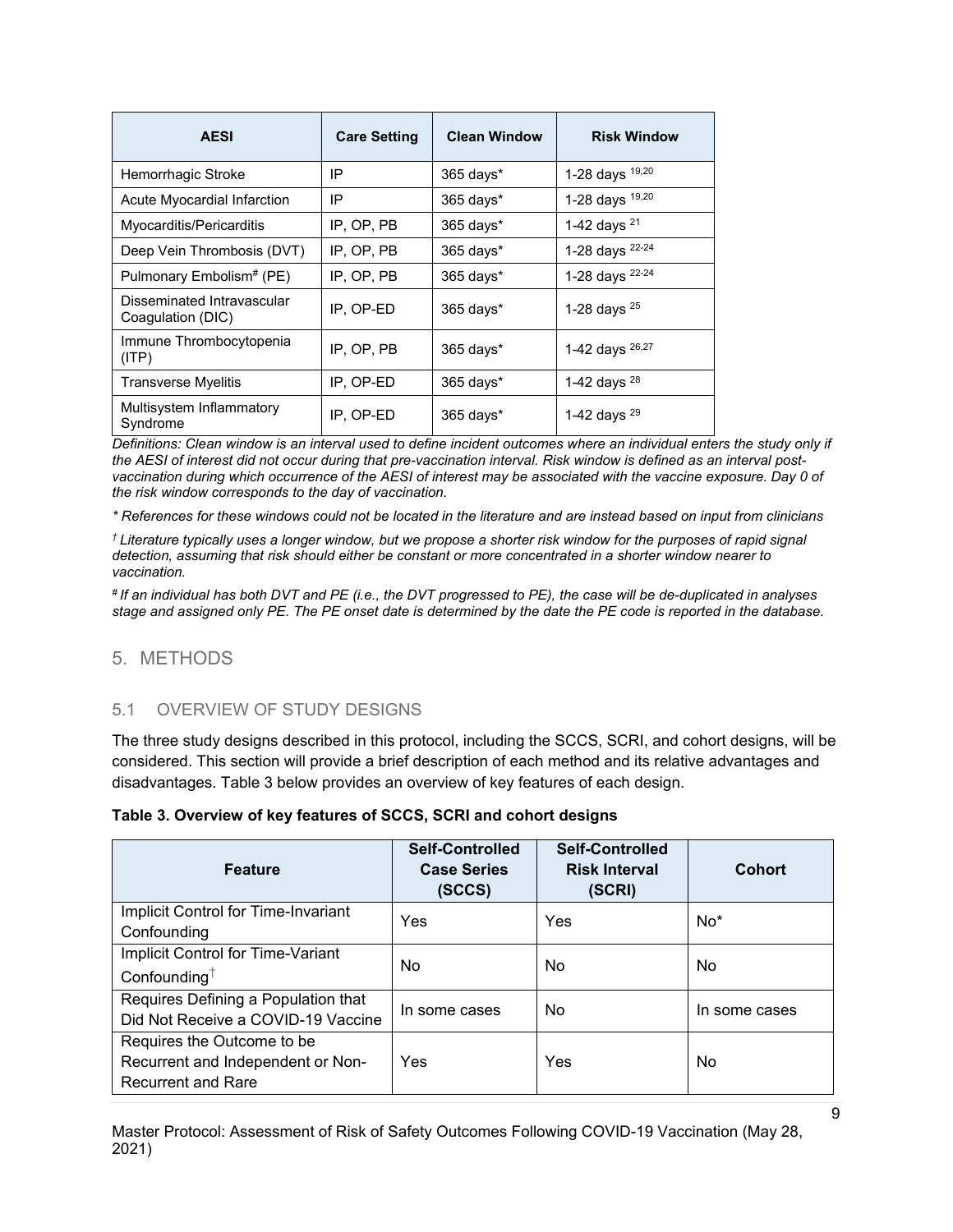| <b>AESI</b>                                     | <b>Care Setting</b> | <b>Clean Window</b> | <b>Risk Window</b>      |
|-------------------------------------------------|---------------------|---------------------|-------------------------|
| Hemorrhagic Stroke                              | IP                  | 365 days*           | 1-28 days 19,20         |
| Acute Myocardial Infarction                     | IP                  | 365 days*           | 1-28 days 19,20         |
| Myocarditis/Pericarditis                        | IP, OP, PB          | 365 days*           | 1-42 days <sup>21</sup> |
| Deep Vein Thrombosis (DVT)                      | IP, OP, PB          | $365$ days*         | 1-28 days 22-24         |
| Pulmonary Embolism# (PE)                        | IP, OP, PB          | 365 days*           | 1-28 days 22-24         |
| Disseminated Intravascular<br>Coagulation (DIC) | IP. OP-ED           | $365$ days*         | 1-28 days $^{25}$       |
| Immune Thrombocytopenia<br>(ITP)                | IP, OP, PB          | 365 days*           | 1-42 days 26,27         |
| <b>Transverse Myelitis</b>                      | IP, OP-ED           | 365 days*           | 1-42 days $^{28}$       |
| Multisystem Inflammatory<br>Syndrome            | IP, OP-ED           | 365 days*           | 1-42 days $^{29}$       |

*Definitions: Clean window is an interval used to define incident outcomes where an individual enters the study only if the AESI of interest did not occur during that pre-vaccination interval. Risk window is defined as an interval postvaccination during which occurrence of the AESI of interest may be associated with the vaccine exposure. Day 0 of the risk window corresponds to the day of vaccination.*

*\* References for these windows could not be located in the literature and are instead based on input from clinicians*

*† Literature typically uses a longer window, but we propose a shorter risk window for the purposes of rapid signal detection, assuming that risk should either be constant or more concentrated in a shorter window nearer to vaccination.*

*# If an individual has both DVT and PE (i.e., the DVT progressed to PE), the case will be de-duplicated in analyses stage and assigned only PE. The PE onset date is determined by the date the PE code is reported in the database.* 

#### <span id="page-8-0"></span>5. METHODS

#### <span id="page-8-1"></span>5.1 OVERVIEW OF STUDY DESIGNS

The three study designs described in this protocol, including the SCCS, SCRI, and cohort designs, will be considered. This section will provide a brief description of each method and its relative advantages and disadvantages. Table 3 below provides an overview of key features of each design.

|  | Table 3. Overview of key features of SCCS, SCRI and cohort designs |  |  |  |  |  |
|--|--------------------------------------------------------------------|--|--|--|--|--|
|--|--------------------------------------------------------------------|--|--|--|--|--|

| <b>Feature</b>                                                                               | <b>Self-Controlled</b><br><b>Case Series</b><br>(SCCS) | <b>Self-Controlled</b><br><b>Risk Interval</b><br>(SCRI) | <b>Cohort</b> |
|----------------------------------------------------------------------------------------------|--------------------------------------------------------|----------------------------------------------------------|---------------|
| Implicit Control for Time-Invariant<br>Confounding                                           | Yes                                                    | Yes                                                      | $No*$         |
| Implicit Control for Time-Variant<br>Confounding $†$                                         | <b>No</b>                                              | No                                                       | No            |
| Requires Defining a Population that<br>Did Not Receive a COVID-19 Vaccine                    | In some cases                                          | No                                                       | In some cases |
| Requires the Outcome to be<br>Recurrent and Independent or Non-<br><b>Recurrent and Rare</b> | Yes                                                    | Yes                                                      | No            |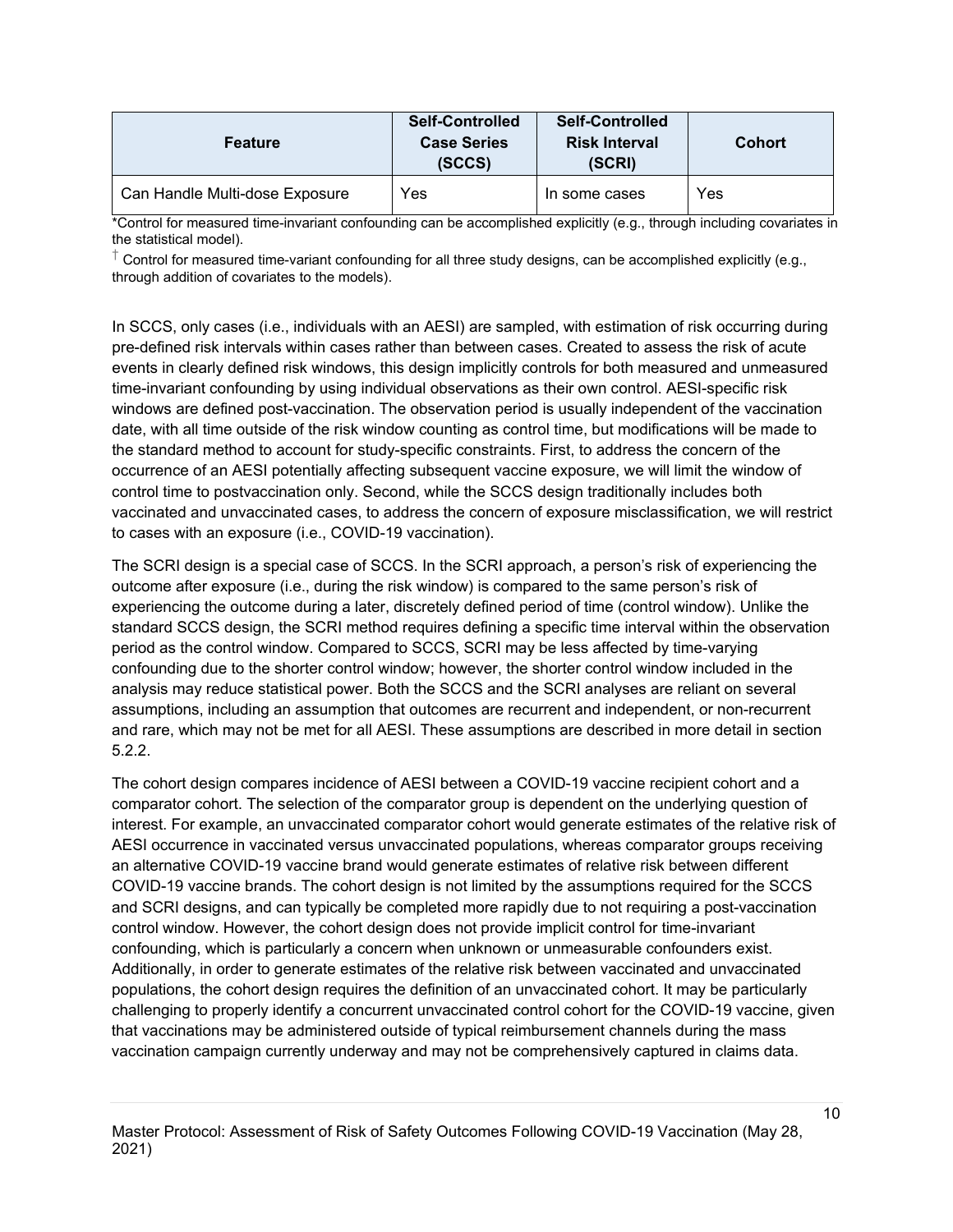| <b>Feature</b>                 | <b>Self-Controlled</b><br><b>Case Series</b><br>(SCCS) | <b>Self-Controlled</b><br><b>Risk Interval</b><br>(SCRI) | <b>Cohort</b> |
|--------------------------------|--------------------------------------------------------|----------------------------------------------------------|---------------|
| Can Handle Multi-dose Exposure | Yes                                                    | In some cases                                            | Yes           |

\*Control for measured time-invariant confounding can be accomplished explicitly (e.g., through including covariates in the statistical model).

 $^\dagger$  Control for measured time-variant confounding for all three study designs, can be accomplished explicitly (e.g., through addition of covariates to the models).

In SCCS, only cases (i.e., individuals with an AESI) are sampled, with estimation of risk occurring during pre-defined risk intervals within cases rather than between cases. Created to assess the risk of acute events in clearly defined risk windows, this design implicitly controls for both measured and unmeasured time-invariant confounding by using individual observations as their own control. AESI-specific risk windows are defined post-vaccination. The observation period is usually independent of the vaccination date, with all time outside of the risk window counting as control time, but modifications will be made to the standard method to account for study-specific constraints. First, to address the concern of the occurrence of an AESI potentially affecting subsequent vaccine exposure, we will limit the window of control time to postvaccination only. Second, while the SCCS design traditionally includes both vaccinated and unvaccinated cases, to address the concern of exposure misclassification, we will restrict to cases with an exposure (i.e., COVID-19 vaccination).

The SCRI design is a special case of SCCS. In the SCRI approach, a person's risk of experiencing the outcome after exposure (i.e., during the risk window) is compared to the same person's risk of experiencing the outcome during a later, discretely defined period of time (control window). Unlike the standard SCCS design, the SCRI method requires defining a specific time interval within the observation period as the control window. Compared to SCCS, SCRI may be less affected by time-varying confounding due to the shorter control window; however, the shorter control window included in the analysis may reduce statistical power. Both the SCCS and the SCRI analyses are reliant on several assumptions, including an assumption that outcomes are recurrent and independent, or non-recurrent and rare, which may not be met for all AESI. These assumptions are described in more detail in section 5.2.2.

The cohort design compares incidence of AESI between a COVID-19 vaccine recipient cohort and a comparator cohort. The selection of the comparator group is dependent on the underlying question of interest. For example, an unvaccinated comparator cohort would generate estimates of the relative risk of AESI occurrence in vaccinated versus unvaccinated populations, whereas comparator groups receiving an alternative COVID-19 vaccine brand would generate estimates of relative risk between different COVID-19 vaccine brands. The cohort design is not limited by the assumptions required for the SCCS and SCRI designs, and can typically be completed more rapidly due to not requiring a post-vaccination control window. However, the cohort design does not provide implicit control for time-invariant confounding, which is particularly a concern when unknown or unmeasurable confounders exist. Additionally, in order to generate estimates of the relative risk between vaccinated and unvaccinated populations, the cohort design requires the definition of an unvaccinated cohort. It may be particularly challenging to properly identify a concurrent unvaccinated control cohort for the COVID-19 vaccine, given that vaccinations may be administered outside of typical reimbursement channels during the mass vaccination campaign currently underway and may not be comprehensively captured in claims data.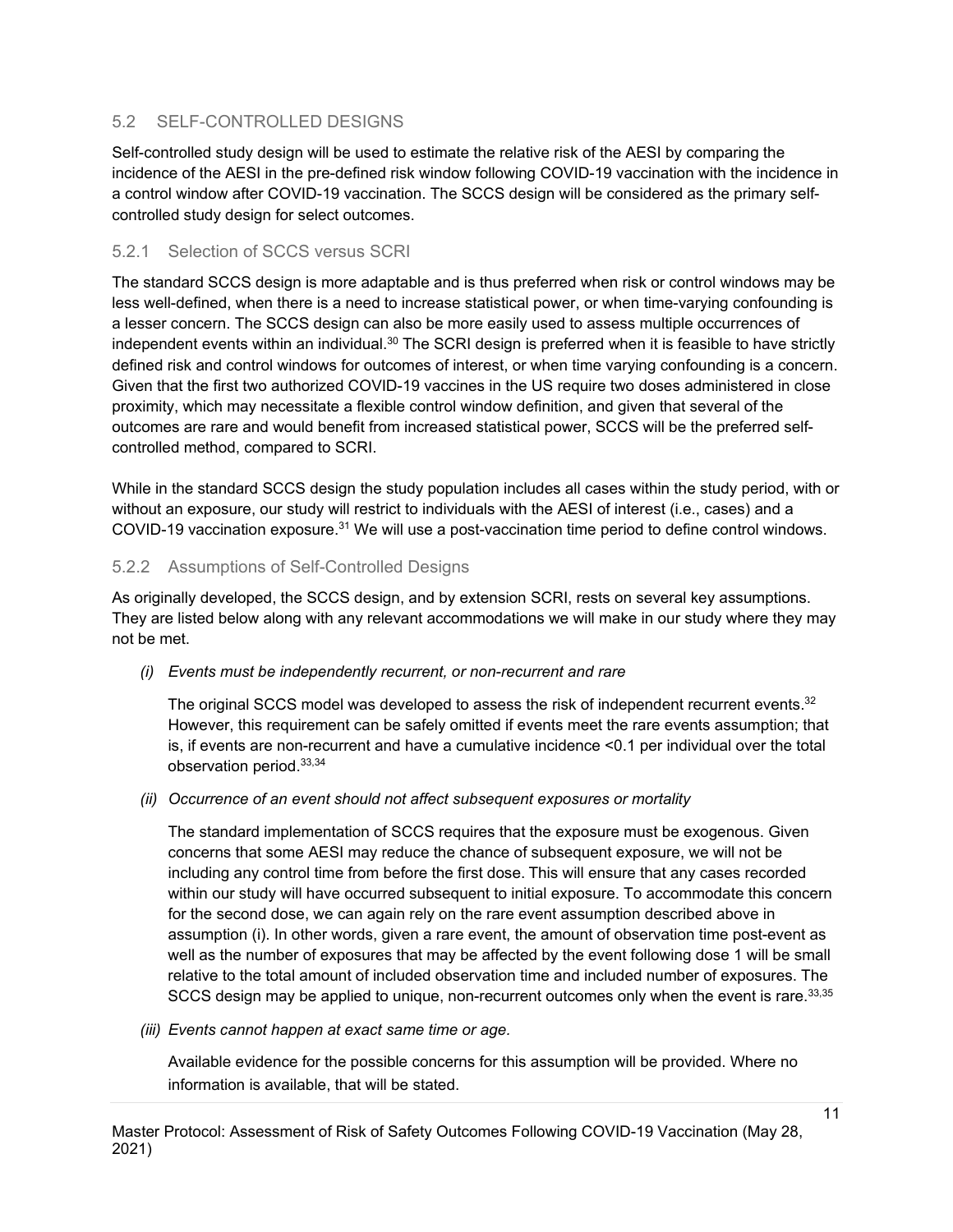# <span id="page-10-0"></span>5.2 SELF-CONTROLLED DESIGNS

Self-controlled study design will be used to estimate the relative risk of the AESI by comparing the incidence of the AESI in the pre-defined risk window following COVID-19 vaccination with the incidence in a control window after COVID-19 vaccination. The SCCS design will be considered as the primary selfcontrolled study design for select outcomes.

#### <span id="page-10-1"></span>5.2.1 Selection of SCCS versus SCRI

The standard SCCS design is more adaptable and is thus preferred when risk or control windows may be less well-defined, when there is a need to increase statistical power, or when time-varying confounding is a lesser concern. The SCCS design can also be more easily used to assess multiple occurrences of independent events within an individual.<sup>30</sup> The SCRI design is preferred when it is feasible to have strictly defined risk and control windows for outcomes of interest, or when time varying confounding is a concern. Given that the first two authorized COVID-19 vaccines in the US require two doses administered in close proximity, which may necessitate a flexible control window definition, and given that several of the outcomes are rare and would benefit from increased statistical power, SCCS will be the preferred selfcontrolled method, compared to SCRI.

While in the standard SCCS design the study population includes all cases within the study period, with or without an exposure, our study will restrict to individuals with the AESI of interest (i.e., cases) and a COVID-19 vaccination exposure.<sup>31</sup> We will use a post-vaccination time period to define control windows.

#### <span id="page-10-2"></span>5.2.2 Assumptions of Self-Controlled Designs

As originally developed, the SCCS design, and by extension SCRI, rests on several key assumptions. They are listed below along with any relevant accommodations we will make in our study where they may not be met.

#### *(i) Events must be independently recurrent, or non-recurrent and rare*

The original SCCS model was developed to assess the risk of independent recurrent events.<sup>32</sup> However, this requirement can be safely omitted if events meet the rare events assumption; that is, if events are non-recurrent and have a cumulative incidence <0.1 per individual over the total observation period. 33,34

#### *(ii) Occurrence of an event should not affect subsequent exposures or mortality*

The standard implementation of SCCS requires that the exposure must be exogenous. Given concerns that some AESI may reduce the chance of subsequent exposure, we will not be including any control time from before the first dose. This will ensure that any cases recorded within our study will have occurred subsequent to initial exposure. To accommodate this concern for the second dose, we can again rely on the rare event assumption described above in assumption (i). In other words, given a rare event, the amount of observation time post-event as well as the number of exposures that may be affected by the event following dose 1 will be small relative to the total amount of included observation time and included number of exposures. The SCCS design may be applied to unique, non-recurrent outcomes only when the event is rare.<sup>33,35</sup>

*(iii) Events cannot happen at exact same time or age.*

Available evidence for the possible concerns for this assumption will be provided. Where no information is available, that will be stated.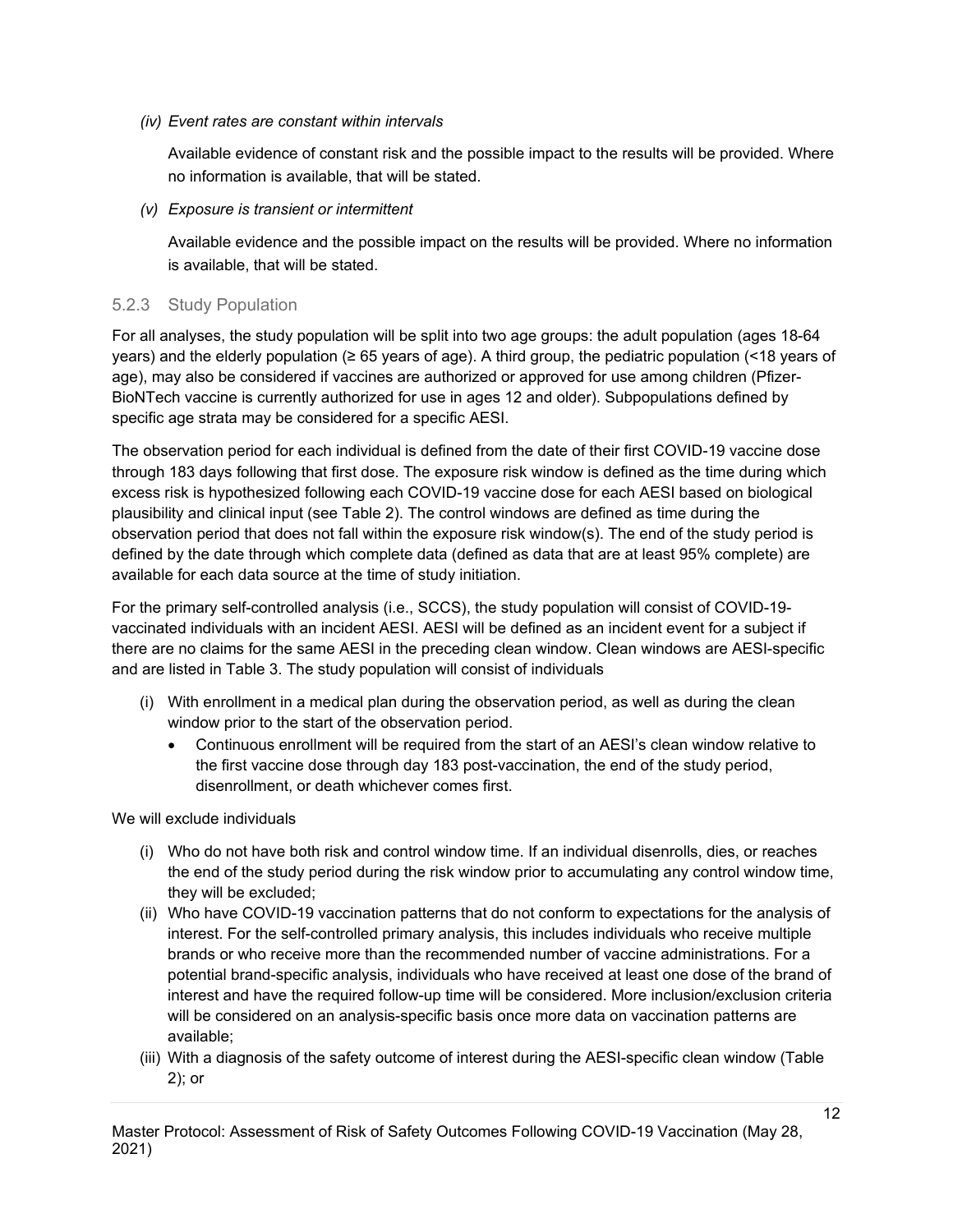#### *(iv) Event rates are constant within intervals*

Available evidence of constant risk and the possible impact to the results will be provided. Where no information is available, that will be stated.

#### *(v) Exposure is transient or intermittent*

Available evidence and the possible impact on the results will be provided. Where no information is available, that will be stated.

#### <span id="page-11-0"></span>5.2.3 Study Population

For all analyses, the study population will be split into two age groups: the adult population (ages 18-64 years) and the elderly population (≥ 65 years of age). A third group, the pediatric population (<18 years of age), may also be considered if vaccines are authorized or approved for use among children (Pfizer-BioNTech vaccine is currently authorized for use in ages 12 and older). Subpopulations defined by specific age strata may be considered for a specific AESI.

The observation period for each individual is defined from the date of their first COVID-19 vaccine dose through 183 days following that first dose. The exposure risk window is defined as the time during which excess risk is hypothesized following each COVID-19 vaccine dose for each AESI based on biological plausibility and clinical input (see Table 2). The control windows are defined as time during the observation period that does not fall within the exposure risk window(s). The end of the study period is defined by the date through which complete data (defined as data that are at least 95% complete) are available for each data source at the time of study initiation.

For the primary self-controlled analysis (i.e., SCCS), the study population will consist of COVID-19 vaccinated individuals with an incident AESI. AESI will be defined as an incident event for a subject if there are no claims for the same AESI in the preceding clean window. Clean windows are AESI-specific and are listed in Table 3. The study population will consist of individuals

- (i) With enrollment in a medical plan during the observation period, as well as during the clean window prior to the start of the observation period.
	- Continuous enrollment will be required from the start of an AESI's clean window relative to the first vaccine dose through day 183 post-vaccination, the end of the study period, disenrollment, or death whichever comes first.

We will exclude individuals

- (i) Who do not have both risk and control window time. If an individual disenrolls, dies, or reaches the end of the study period during the risk window prior to accumulating any control window time, they will be excluded;
- (ii) Who have COVID-19 vaccination patterns that do not conform to expectations for the analysis of interest. For the self-controlled primary analysis, this includes individuals who receive multiple brands or who receive more than the recommended number of vaccine administrations. For a potential brand-specific analysis, individuals who have received at least one dose of the brand of interest and have the required follow-up time will be considered. More inclusion/exclusion criteria will be considered on an analysis-specific basis once more data on vaccination patterns are available;
- (iii) With a diagnosis of the safety outcome of interest during the AESI-specific clean window (Table 2); or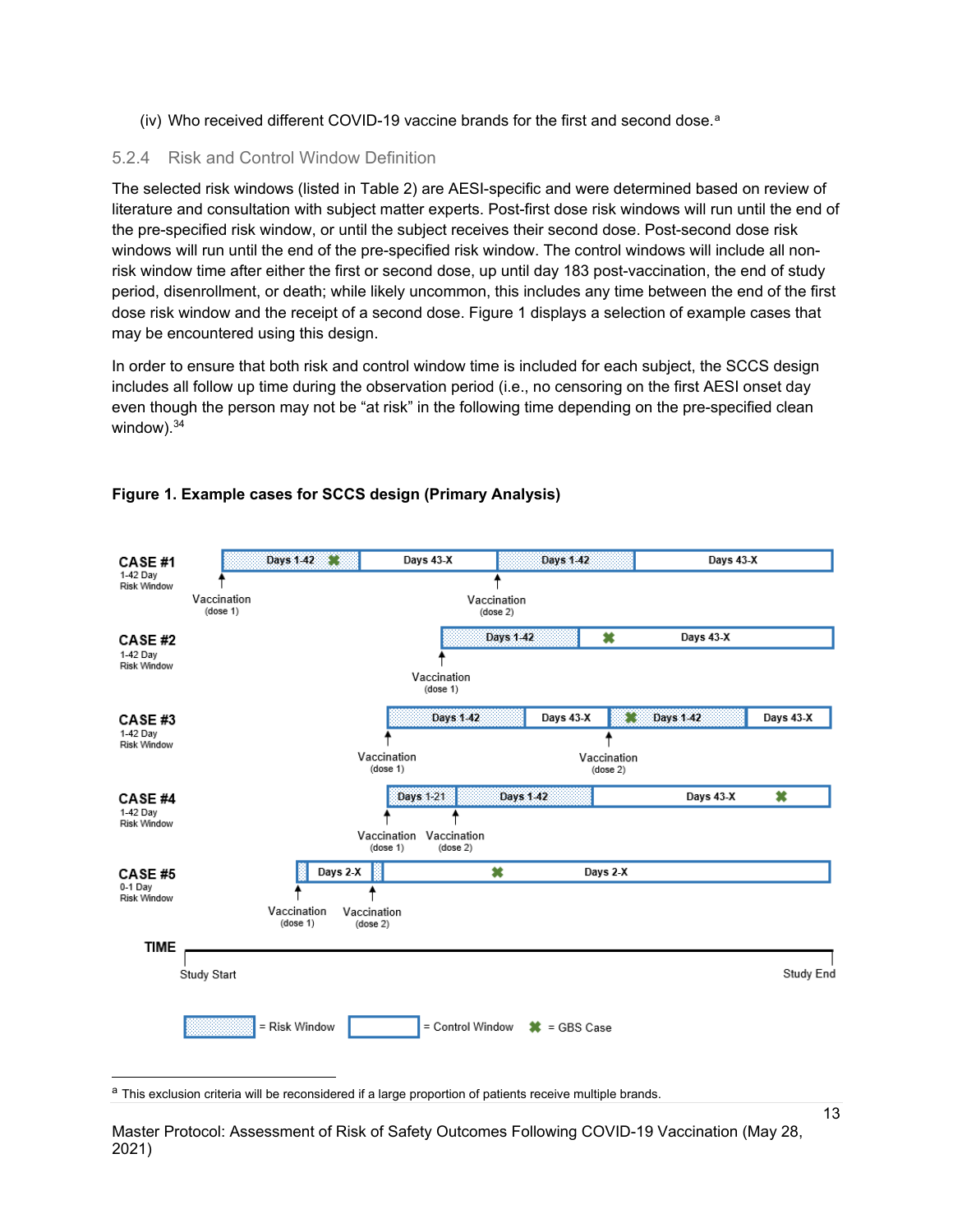(iv) Who received different COVID-19 vaccine brands for the first and second dose. a

#### <span id="page-12-0"></span>5.2.4 Risk and Control Window Definition

The selected risk windows (listed in Table 2) are AESI-specific and were determined based on review of literature and consultation with subject matter experts. Post-first dose risk windows will run until the end of the pre-specified risk window, or until the subject receives their second dose. Post-second dose risk windows will run until the end of the pre-specified risk window. The control windows will include all nonrisk window time after either the first or second dose, up until day 183 post-vaccination, the end of study period, disenrollment, or death; while likely uncommon, this includes any time between the end of the first dose risk window and the receipt of a second dose. Figure 1 displays a selection of example cases that may be encountered using this design.

In order to ensure that both risk and control window time is included for each subject, the SCCS design includes all follow up time during the observation period (i.e., no censoring on the first AESI onset day even though the person may not be "at risk" in the following time depending on the pre-specified clean window).<sup>34</sup>



#### **Figure 1. Example cases for SCCS design (Primary Analysis)**

<sup>a</sup> This exclusion criteria will be reconsidered if a large proportion of patients receive multiple brands.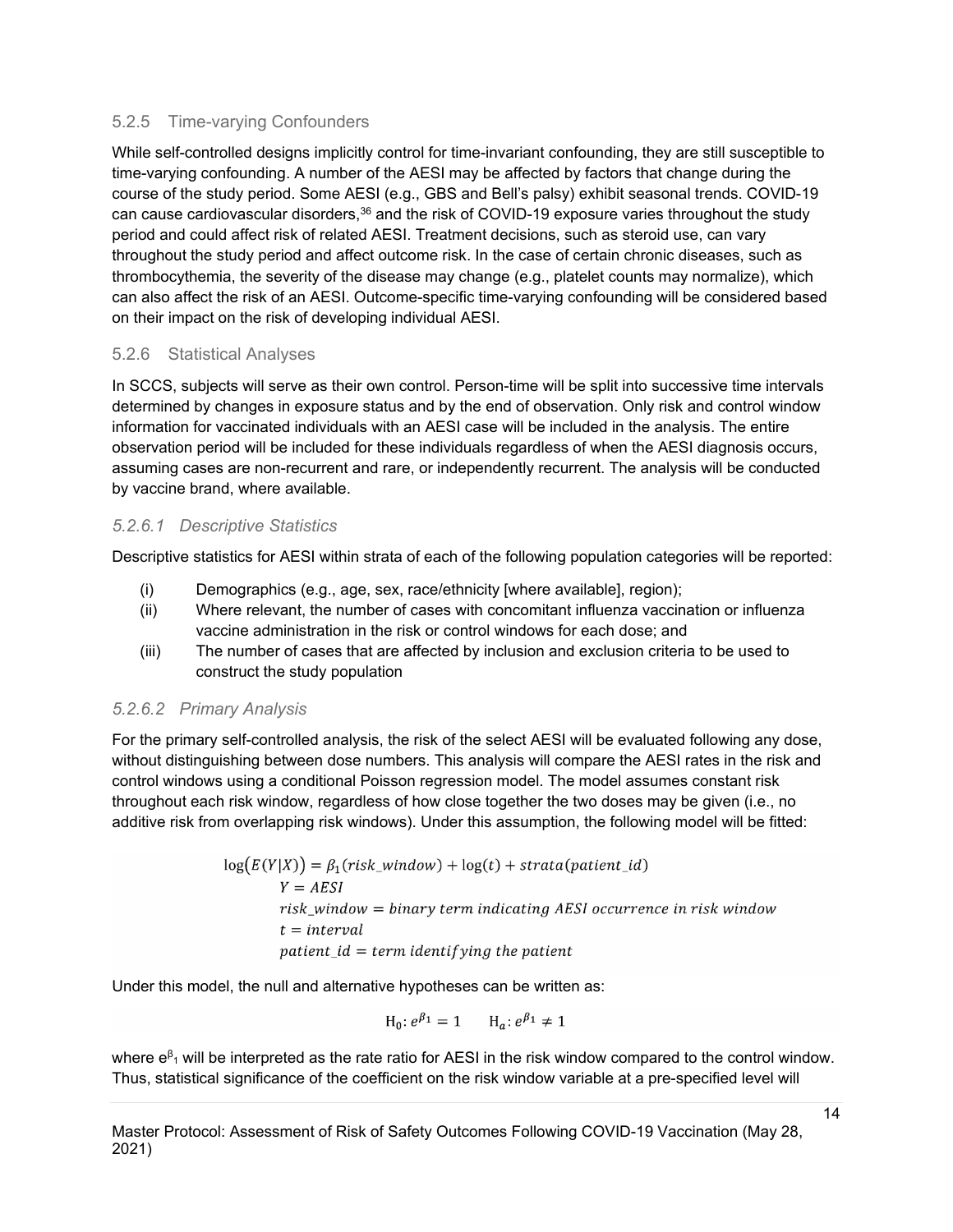#### <span id="page-13-0"></span>5.2.5 Time-varying Confounders

While self-controlled designs implicitly control for time-invariant confounding, they are still susceptible to time-varying confounding. A number of the AESI may be affected by factors that change during the course of the study period. Some AESI (e.g., GBS and Bell's palsy) exhibit seasonal trends. COVID-19 can cause cardiovascular disorders, $36$  and the risk of COVID-19 exposure varies throughout the study period and could affect risk of related AESI. Treatment decisions, such as steroid use, can vary throughout the study period and affect outcome risk. In the case of certain chronic diseases, such as thrombocythemia, the severity of the disease may change (e.g., platelet counts may normalize), which can also affect the risk of an AESI. Outcome-specific time-varying confounding will be considered based on their impact on the risk of developing individual AESI.

#### <span id="page-13-1"></span>5.2.6 Statistical Analyses

In SCCS, subjects will serve as their own control. Person-time will be split into successive time intervals determined by changes in exposure status and by the end of observation. Only risk and control window information for vaccinated individuals with an AESI case will be included in the analysis. The entire observation period will be included for these individuals regardless of when the AESI diagnosis occurs, assuming cases are non-recurrent and rare, or independently recurrent. The analysis will be conducted by vaccine brand, where available.

#### *5.2.6.1 Descriptive Statistics*

Descriptive statistics for AESI within strata of each of the following population categories will be reported:

- (i) Demographics (e.g., age, sex, race/ethnicity [where available], region);
- (ii) Where relevant, the number of cases with concomitant influenza vaccination or influenza vaccine administration in the risk or control windows for each dose; and
- (iii) The number of cases that are affected by inclusion and exclusion criteria to be used to construct the study population

# *5.2.6.2 Primary Analysis*

For the primary self-controlled analysis, the risk of the select AESI will be evaluated following any dose, without distinguishing between dose numbers. This analysis will compare the AESI rates in the risk and control windows using a conditional Poisson regression model. The model assumes constant risk throughout each risk window, regardless of how close together the two doses may be given (i.e., no additive risk from overlapping risk windows). Under this assumption, the following model will be fitted:

$$
log(E(Y|X)) = \beta_1(risk\_window) + log(t) + strata(patient_id)
$$
  
\n
$$
Y = AESI
$$
  
\n
$$
risk\_window = binary term indicating AESI occurrence in risk window
$$
  
\n
$$
t = interval
$$
  
\n
$$
patient_id = term identitying the patient
$$

Under this model, the null and alternative hypotheses can be written as:

$$
H_0: e^{\beta_1} = 1 \qquad H_a: e^{\beta_1} \neq 1
$$

where  $e^{\beta}$  will be interpreted as the rate ratio for AESI in the risk window compared to the control window. Thus, statistical significance of the coefficient on the risk window variable at a pre-specified level will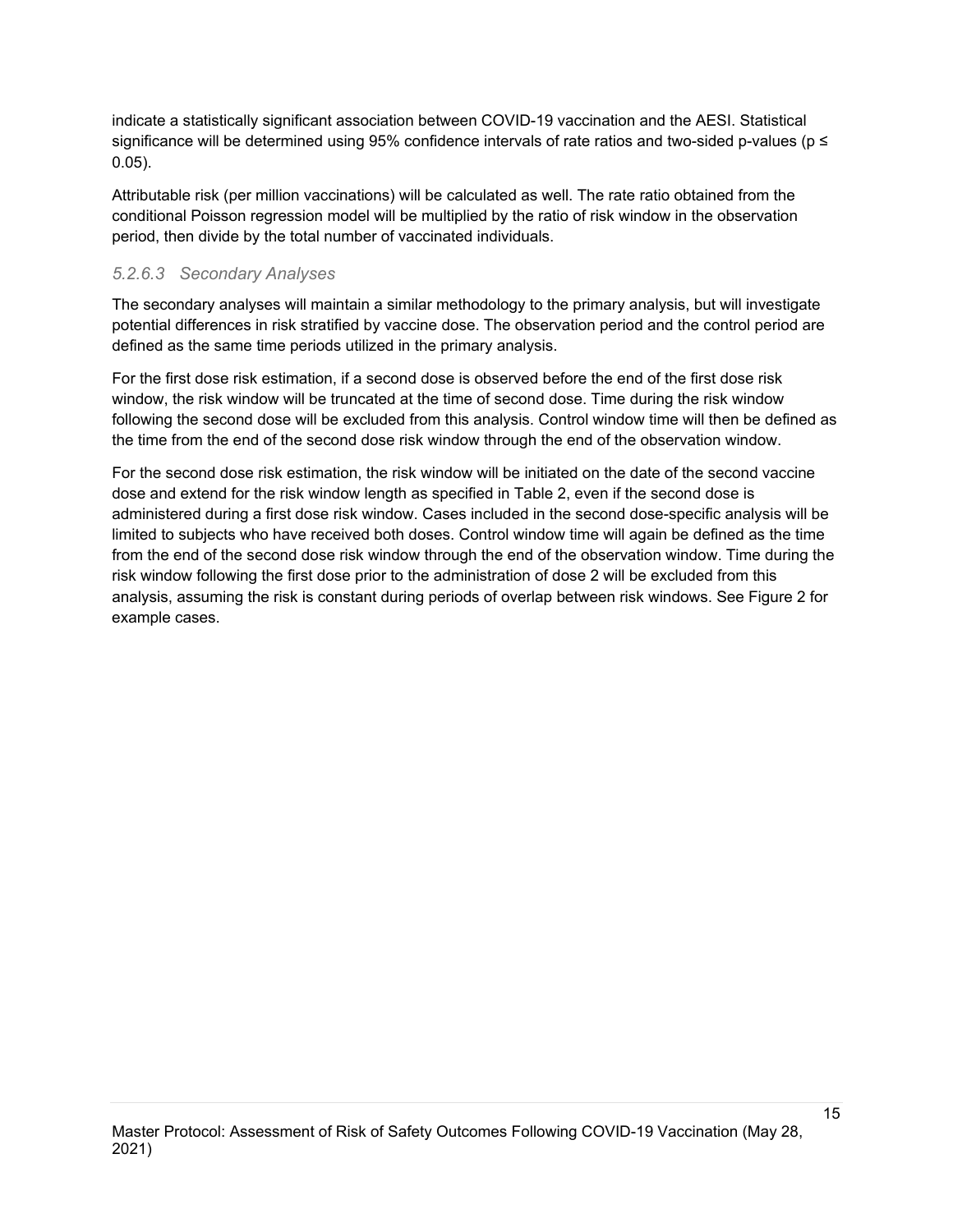indicate a statistically significant association between COVID-19 vaccination and the AESI. Statistical significance will be determined using 95% confidence intervals of rate ratios and two-sided p-values (p ≤ 0.05).

Attributable risk (per million vaccinations) will be calculated as well. The rate ratio obtained from the conditional Poisson regression model will be multiplied by the ratio of risk window in the observation period, then divide by the total number of vaccinated individuals.

# *5.2.6.3 Secondary Analyses*

The secondary analyses will maintain a similar methodology to the primary analysis, but will investigate potential differences in risk stratified by vaccine dose. The observation period and the control period are defined as the same time periods utilized in the primary analysis.

For the first dose risk estimation, if a second dose is observed before the end of the first dose risk window, the risk window will be truncated at the time of second dose. Time during the risk window following the second dose will be excluded from this analysis. Control window time will then be defined as the time from the end of the second dose risk window through the end of the observation window.

For the second dose risk estimation, the risk window will be initiated on the date of the second vaccine dose and extend for the risk window length as specified in Table 2, even if the second dose is administered during a first dose risk window. Cases included in the second dose-specific analysis will be limited to subjects who have received both doses. Control window time will again be defined as the time from the end of the second dose risk window through the end of the observation window. Time during the risk window following the first dose prior to the administration of dose 2 will be excluded from this analysis, assuming the risk is constant during periods of overlap between risk windows. See Figure 2 for example cases.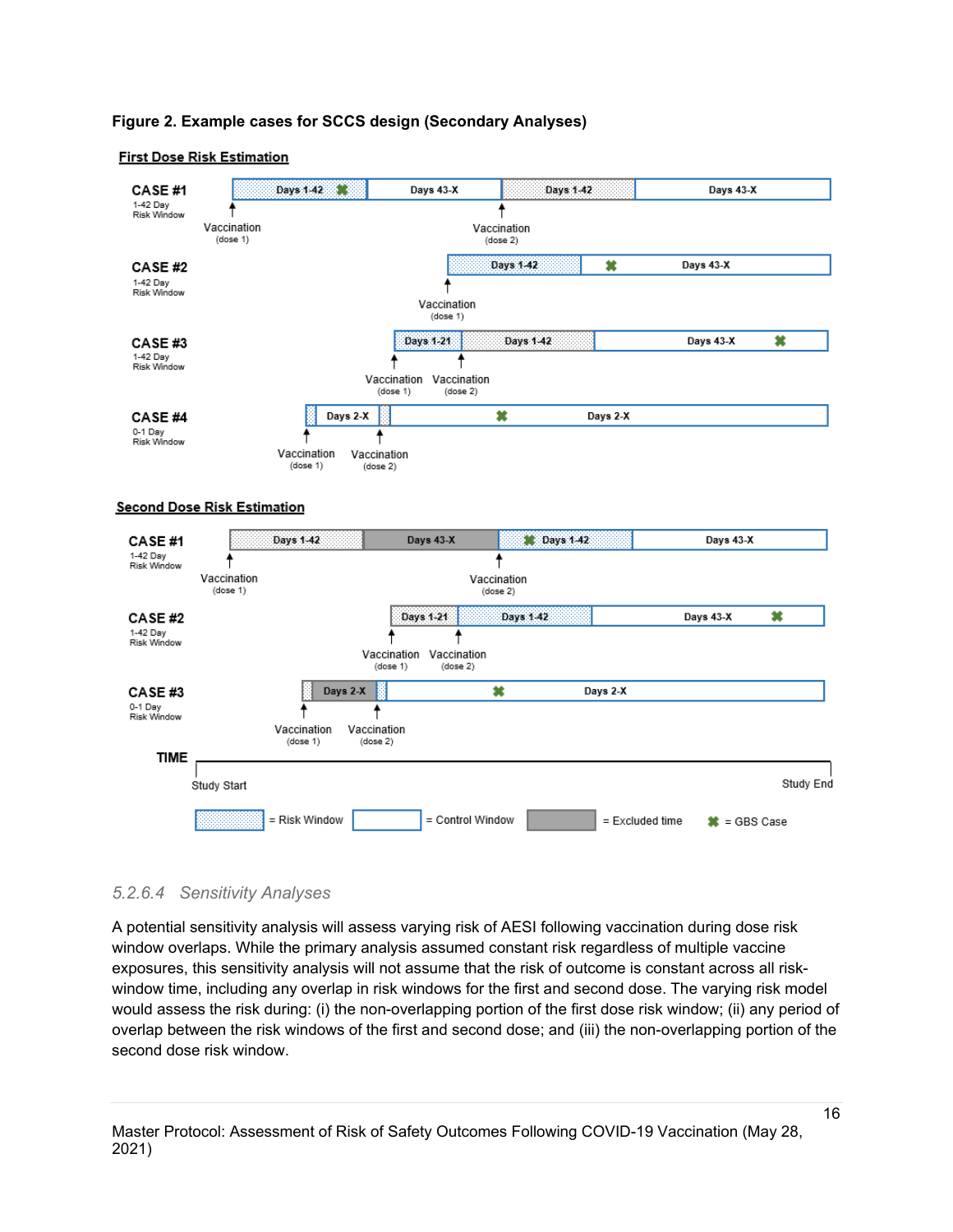#### **Figure 2. Example cases for SCCS design (Secondary Analyses)**

#### **First Dose Risk Estimation**



#### *5.2.6.4 Sensitivity Analyses*

A potential sensitivity analysis will assess varying risk of AESI following vaccination during dose risk window overlaps. While the primary analysis assumed constant risk regardless of multiple vaccine exposures, this sensitivity analysis will not assume that the risk of outcome is constant across all riskwindow time, including any overlap in risk windows for the first and second dose. The varying risk model would assess the risk during: (i) the non-overlapping portion of the first dose risk window; (ii) any period of overlap between the risk windows of the first and second dose; and (iii) the non-overlapping portion of the second dose risk window.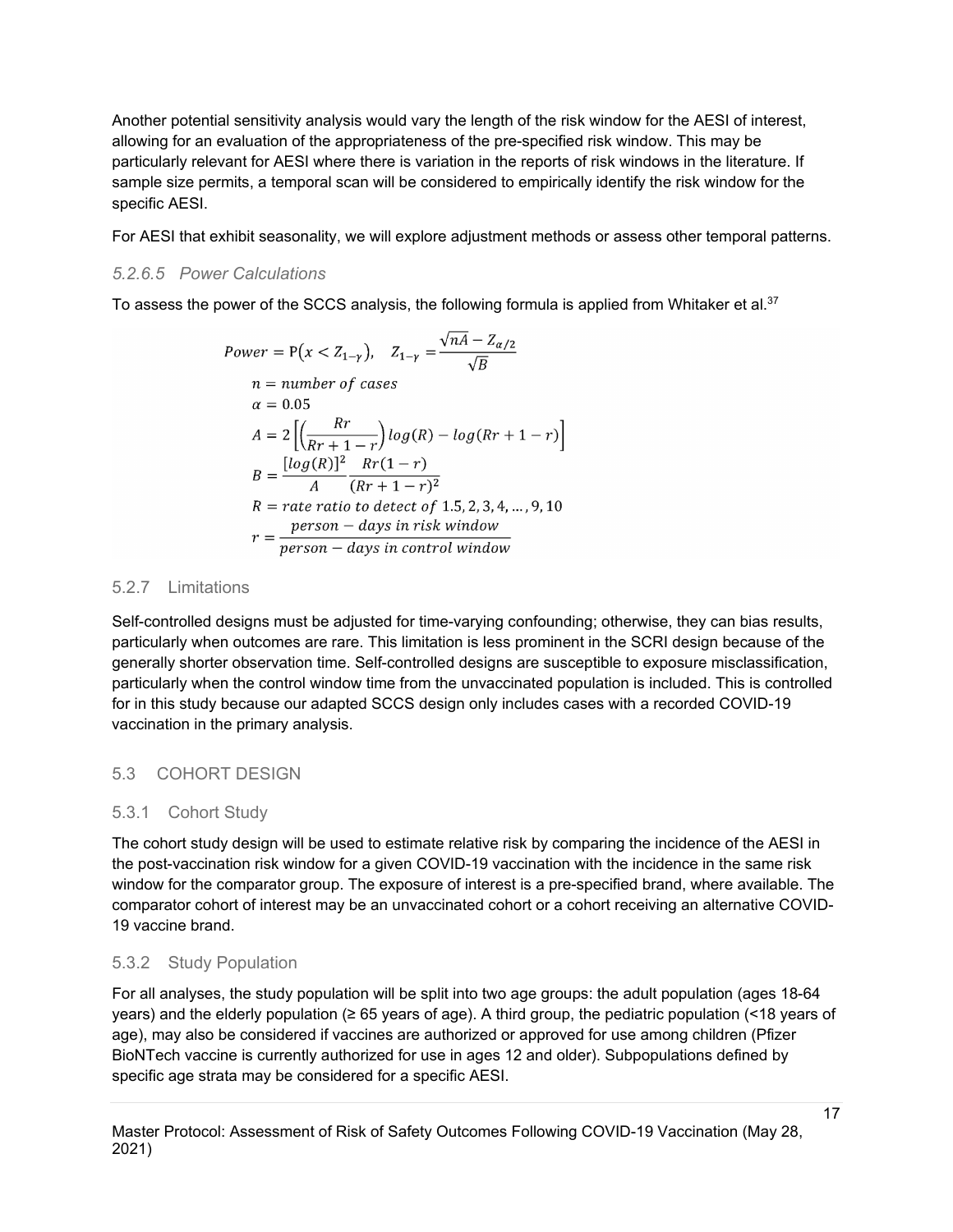Another potential sensitivity analysis would vary the length of the risk window for the AESI of interest, allowing for an evaluation of the appropriateness of the pre-specified risk window. This may be particularly relevant for AESI where there is variation in the reports of risk windows in the literature. If sample size permits, a temporal scan will be considered to empirically identify the risk window for the specific AESI.

For AESI that exhibit seasonality, we will explore adjustment methods or assess other temporal patterns.

## *5.2.6.5 Power Calculations*

To assess the power of the SCCS analysis, the following formula is applied from Whitaker et al. $^{37}$ 

$$
Power = P(x < Z_{1-\gamma}), \quad Z_{1-\gamma} = \frac{\sqrt{nA} - Z_{\alpha/2}}{\sqrt{B}}
$$
\n
$$
n = number \ of \ cases
$$
\n
$$
\alpha = 0.05
$$
\n
$$
A = 2\left[\left(\frac{Rr}{Rr + 1 - r}\right)\log(R) - \log(Rr + 1 - r)\right]
$$
\n
$$
B = \frac{[\log(R)]^2}{A} \frac{Rr(1 - r)}{(Rr + 1 - r)^2}
$$
\n
$$
R = rate \ ratio \ to \ detect \ of \ 1.5, 2, 3, 4, \dots, 9, 10
$$
\n
$$
r = \frac{person - days \ in \ risk \ window}{person - days \ in \ control \ window}
$$

#### <span id="page-16-0"></span>5.2.7 Limitations

Self-controlled designs must be adjusted for time-varying confounding; otherwise, they can bias results, particularly when outcomes are rare. This limitation is less prominent in the SCRI design because of the generally shorter observation time. Self-controlled designs are susceptible to exposure misclassification, particularly when the control window time from the unvaccinated population is included. This is controlled for in this study because our adapted SCCS design only includes cases with a recorded COVID-19 vaccination in the primary analysis.

# <span id="page-16-1"></span>5.3 COHORT DESIGN

# <span id="page-16-2"></span>5.3.1 Cohort Study

The cohort study design will be used to estimate relative risk by comparing the incidence of the AESI in the post-vaccination risk window for a given COVID-19 vaccination with the incidence in the same risk window for the comparator group. The exposure of interest is a pre-specified brand, where available. The comparator cohort of interest may be an unvaccinated cohort or a cohort receiving an alternative COVID-19 vaccine brand.

# <span id="page-16-3"></span>5.3.2 Study Population

For all analyses, the study population will be split into two age groups: the adult population (ages 18-64 years) and the elderly population (≥ 65 years of age). A third group, the pediatric population (<18 years of age), may also be considered if vaccines are authorized or approved for use among children (Pfizer BioNTech vaccine is currently authorized for use in ages 12 and older). Subpopulations defined by specific age strata may be considered for a specific AESI.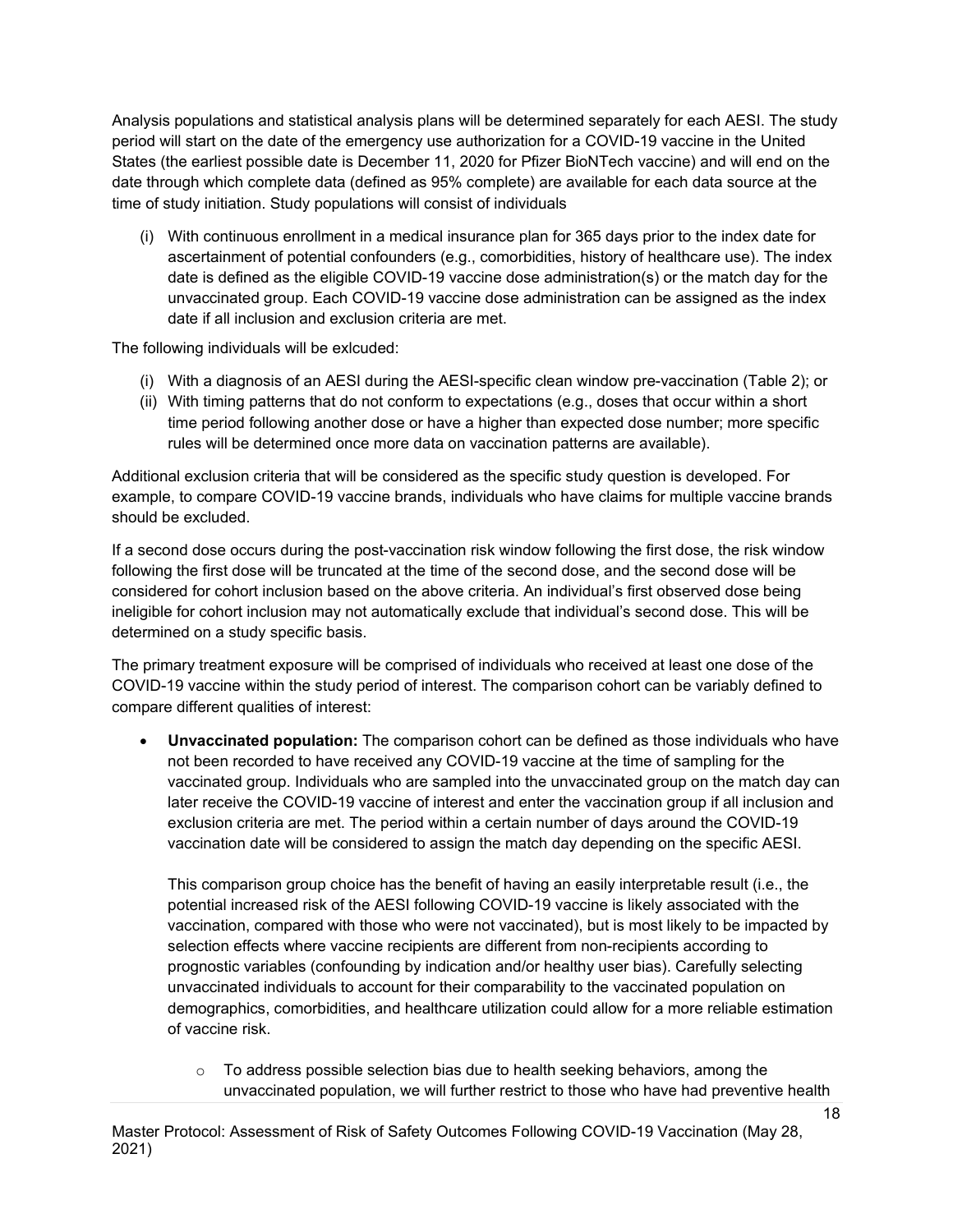Analysis populations and statistical analysis plans will be determined separately for each AESI. The study period will start on the date of the emergency use authorization for a COVID-19 vaccine in the United States (the earliest possible date is December 11, 2020 for Pfizer BioNTech vaccine) and will end on the date through which complete data (defined as 95% complete) are available for each data source at the time of study initiation. Study populations will consist of individuals

(i) With continuous enrollment in a medical insurance plan for 365 days prior to the index date for ascertainment of potential confounders (e.g., comorbidities, history of healthcare use). The index date is defined as the eligible COVID-19 vaccine dose administration(s) or the match day for the unvaccinated group. Each COVID-19 vaccine dose administration can be assigned as the index date if all inclusion and exclusion criteria are met.

The following individuals will be exlcuded:

- (i) With a diagnosis of an AESI during the AESI-specific clean window pre-vaccination (Table 2); or
- (ii) With timing patterns that do not conform to expectations (e.g., doses that occur within a short time period following another dose or have a higher than expected dose number; more specific rules will be determined once more data on vaccination patterns are available).

Additional exclusion criteria that will be considered as the specific study question is developed. For example, to compare COVID-19 vaccine brands, individuals who have claims for multiple vaccine brands should be excluded.

If a second dose occurs during the post-vaccination risk window following the first dose, the risk window following the first dose will be truncated at the time of the second dose, and the second dose will be considered for cohort inclusion based on the above criteria. An individual's first observed dose being ineligible for cohort inclusion may not automatically exclude that individual's second dose. This will be determined on a study specific basis.

The primary treatment exposure will be comprised of individuals who received at least one dose of the COVID-19 vaccine within the study period of interest. The comparison cohort can be variably defined to compare different qualities of interest:

• **Unvaccinated population:** The comparison cohort can be defined as those individuals who have not been recorded to have received any COVID-19 vaccine at the time of sampling for the vaccinated group. Individuals who are sampled into the unvaccinated group on the match day can later receive the COVID-19 vaccine of interest and enter the vaccination group if all inclusion and exclusion criteria are met. The period within a certain number of days around the COVID-19 vaccination date will be considered to assign the match day depending on the specific AESI.

This comparison group choice has the benefit of having an easily interpretable result (i.e., the potential increased risk of the AESI following COVID-19 vaccine is likely associated with the vaccination, compared with those who were not vaccinated), but is most likely to be impacted by selection effects where vaccine recipients are different from non-recipients according to prognostic variables (confounding by indication and/or healthy user bias). Carefully selecting unvaccinated individuals to account for their comparability to the vaccinated population on demographics, comorbidities, and healthcare utilization could allow for a more reliable estimation of vaccine risk.

o To address possible selection bias due to health seeking behaviors, among the unvaccinated population, we will further restrict to those who have had preventive health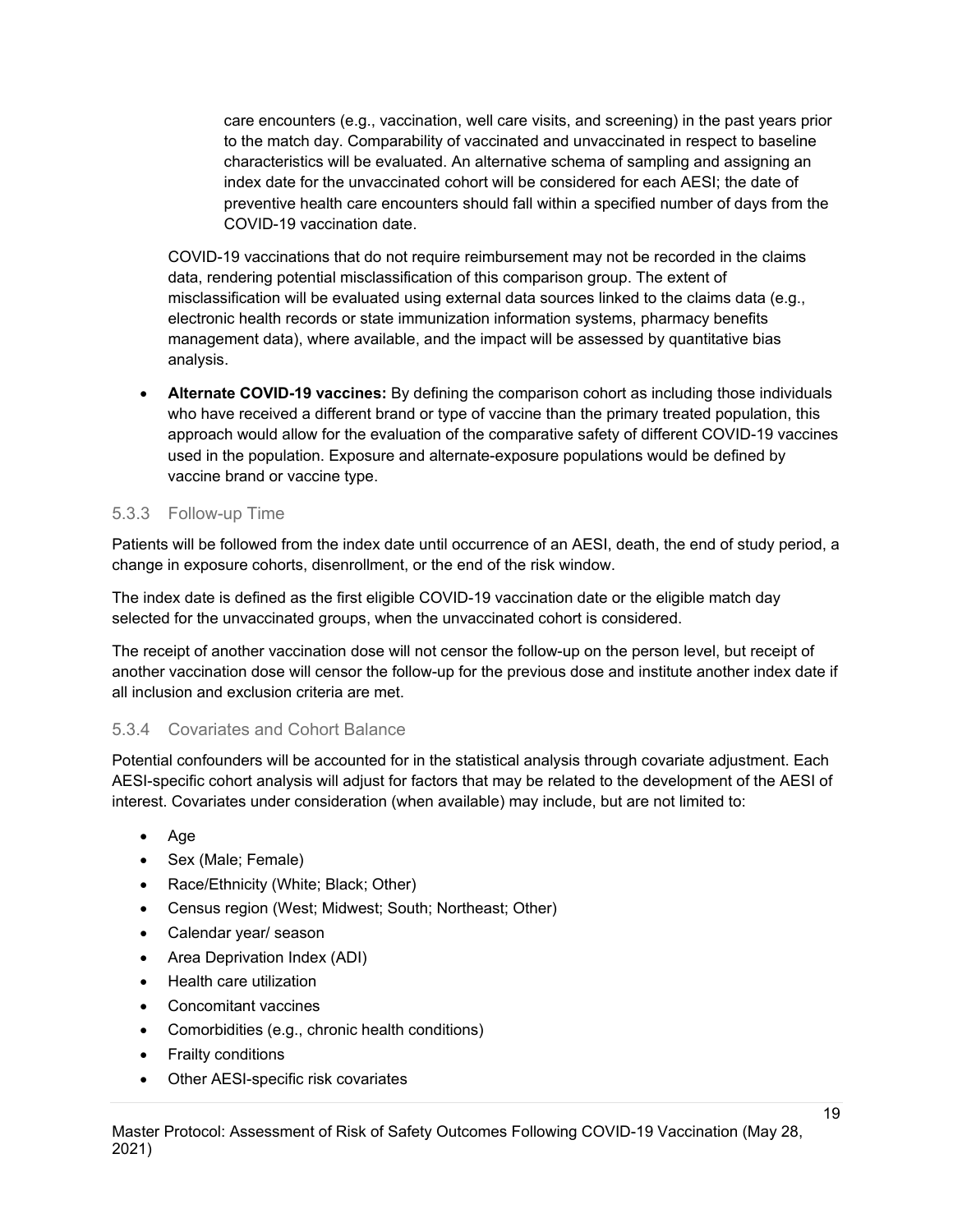care encounters (e.g., vaccination, well care visits, and screening) in the past years prior to the match day. Comparability of vaccinated and unvaccinated in respect to baseline characteristics will be evaluated. An alternative schema of sampling and assigning an index date for the unvaccinated cohort will be considered for each AESI; the date of preventive health care encounters should fall within a specified number of days from the COVID-19 vaccination date.

COVID-19 vaccinations that do not require reimbursement may not be recorded in the claims data, rendering potential misclassification of this comparison group. The extent of misclassification will be evaluated using external data sources linked to the claims data (e.g., electronic health records or state immunization information systems, pharmacy benefits management data), where available, and the impact will be assessed by quantitative bias analysis.

• **Alternate COVID-19 vaccines:** By defining the comparison cohort as including those individuals who have received a different brand or type of vaccine than the primary treated population, this approach would allow for the evaluation of the comparative safety of different COVID-19 vaccines used in the population. Exposure and alternate-exposure populations would be defined by vaccine brand or vaccine type.

#### <span id="page-18-0"></span>5.3.3 Follow-up Time

Patients will be followed from the index date until occurrence of an AESI, death, the end of study period, a change in exposure cohorts, disenrollment, or the end of the risk window.

The index date is defined as the first eligible COVID-19 vaccination date or the eligible match day selected for the unvaccinated groups, when the unvaccinated cohort is considered.

The receipt of another vaccination dose will not censor the follow-up on the person level, but receipt of another vaccination dose will censor the follow-up for the previous dose and institute another index date if all inclusion and exclusion criteria are met.

#### <span id="page-18-1"></span>5.3.4 Covariates and Cohort Balance

Potential confounders will be accounted for in the statistical analysis through covariate adjustment. Each AESI-specific cohort analysis will adjust for factors that may be related to the development of the AESI of interest. Covariates under consideration (when available) may include, but are not limited to:

- Age
- Sex (Male; Female)
- Race/Ethnicity (White; Black; Other)
- Census region (West; Midwest; South; Northeast; Other)
- Calendar year/ season
- Area Deprivation Index (ADI)
- Health care utilization
- Concomitant vaccines
- Comorbidities (e.g., chronic health conditions)
- Frailty conditions
- Other AESI-specific risk covariates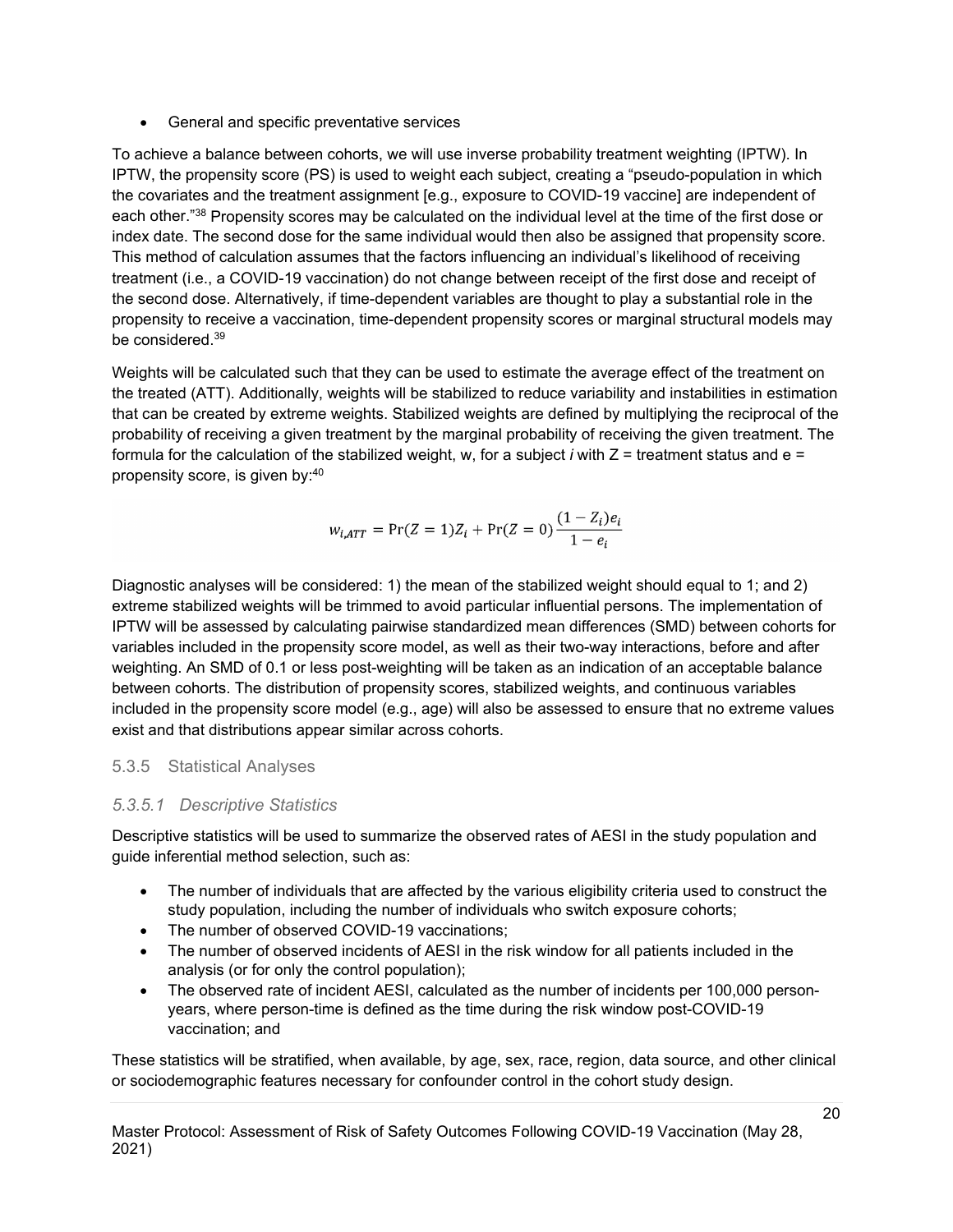• General and specific preventative services

To achieve a balance between cohorts, we will use inverse probability treatment weighting (IPTW). In IPTW, the propensity score (PS) is used to weight each subject, creating a "pseudo-population in which the covariates and the treatment assignment [e.g., exposure to COVID-19 vaccine] are independent of each other."38 Propensity scores may be calculated on the individual level at the time of the first dose or index date. The second dose for the same individual would then also be assigned that propensity score. This method of calculation assumes that the factors influencing an individual's likelihood of receiving treatment (i.e., a COVID-19 vaccination) do not change between receipt of the first dose and receipt of the second dose. Alternatively, if time-dependent variables are thought to play a substantial role in the propensity to receive a vaccination, time-dependent propensity scores or marginal structural models may be considered. 39

Weights will be calculated such that they can be used to estimate the average effect of the treatment on the treated (ATT). Additionally, weights will be stabilized to reduce variability and instabilities in estimation that can be created by extreme weights. Stabilized weights are defined by multiplying the reciprocal of the probability of receiving a given treatment by the marginal probability of receiving the given treatment. The formula for the calculation of the stabilized weight, w, for a subject  $i$  with  $Z =$  treatment status and  $e =$ propensity score, is given by: 40

$$
w_{i,ATT} = \Pr(Z = 1)Z_i + \Pr(Z = 0)\frac{(1 - Z_i)e_i}{1 - e_i}
$$

Diagnostic analyses will be considered: 1) the mean of the stabilized weight should equal to 1; and 2) extreme stabilized weights will be trimmed to avoid particular influential persons. The implementation of IPTW will be assessed by calculating pairwise standardized mean differences (SMD) between cohorts for variables included in the propensity score model, as well as their two-way interactions, before and after weighting. An SMD of 0.1 or less post-weighting will be taken as an indication of an acceptable balance between cohorts. The distribution of propensity scores, stabilized weights, and continuous variables included in the propensity score model (e.g., age) will also be assessed to ensure that no extreme values exist and that distributions appear similar across cohorts.

# 5.3.5 Statistical Analyses

# *5.3.5.1 Descriptive Statistics*

Descriptive statistics will be used to summarize the observed rates of AESI in the study population and guide inferential method selection, such as:

- The number of individuals that are affected by the various eligibility criteria used to construct the study population, including the number of individuals who switch exposure cohorts;
- The number of observed COVID-19 vaccinations;
- The number of observed incidents of AESI in the risk window for all patients included in the analysis (or for only the control population);
- The observed rate of incident AESI, calculated as the number of incidents per 100,000 personyears, where person-time is defined as the time during the risk window post-COVID-19 vaccination; and

These statistics will be stratified, when available, by age, sex, race, region, data source, and other clinical or sociodemographic features necessary for confounder control in the cohort study design.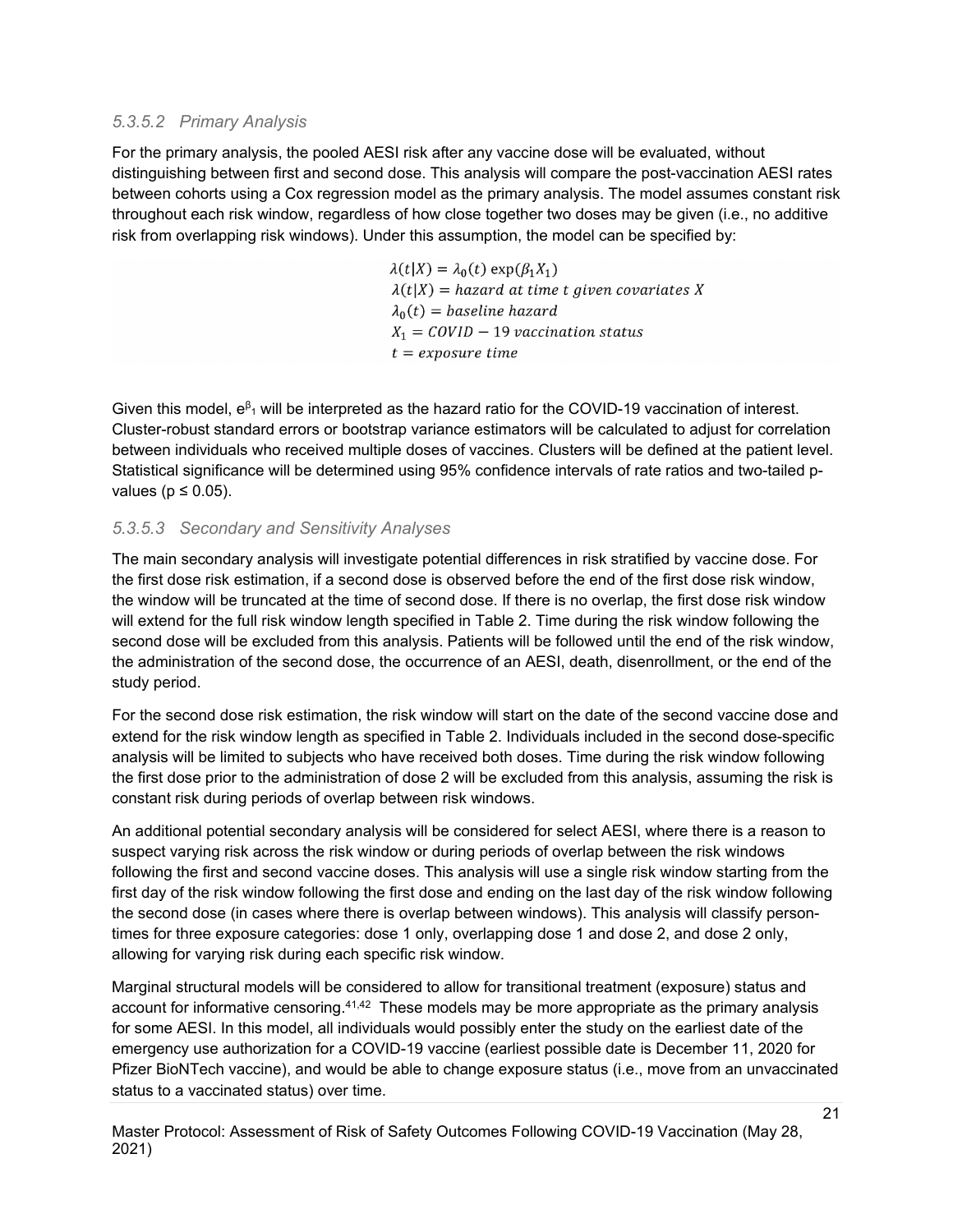#### *5.3.5.2 Primary Analysis*

For the primary analysis, the pooled AESI risk after any vaccine dose will be evaluated, without distinguishing between first and second dose. This analysis will compare the post-vaccination AESI rates between cohorts using a Cox regression model as the primary analysis. The model assumes constant risk throughout each risk window, regardless of how close together two doses may be given (i.e., no additive risk from overlapping risk windows). Under this assumption, the model can be specified by:

> $\lambda(t|X) = \lambda_0(t) \exp(\beta_1 X_1)$  $\lambda(t|X)$  = hazard at time t given covariates X  $\lambda_0(t) = baseline$  hazard  $X_1 = COVID - 19$  vaccination status  $t = exposure$  time

Given this model,  $e^{\beta_1}$  will be interpreted as the hazard ratio for the COVID-19 vaccination of interest. Cluster-robust standard errors or bootstrap variance estimators will be calculated to adjust for correlation between individuals who received multiple doses of vaccines. Clusters will be defined at the patient level. Statistical significance will be determined using 95% confidence intervals of rate ratios and two-tailed pvalues ( $p \leq 0.05$ ).

#### *5.3.5.3 Secondary and Sensitivity Analyses*

The main secondary analysis will investigate potential differences in risk stratified by vaccine dose. For the first dose risk estimation, if a second dose is observed before the end of the first dose risk window, the window will be truncated at the time of second dose. If there is no overlap, the first dose risk window will extend for the full risk window length specified in Table 2. Time during the risk window following the second dose will be excluded from this analysis. Patients will be followed until the end of the risk window, the administration of the second dose, the occurrence of an AESI, death, disenrollment, or the end of the study period.

For the second dose risk estimation, the risk window will start on the date of the second vaccine dose and extend for the risk window length as specified in Table 2. Individuals included in the second dose-specific analysis will be limited to subjects who have received both doses. Time during the risk window following the first dose prior to the administration of dose 2 will be excluded from this analysis, assuming the risk is constant risk during periods of overlap between risk windows.

An additional potential secondary analysis will be considered for select AESI, where there is a reason to suspect varying risk across the risk window or during periods of overlap between the risk windows following the first and second vaccine doses. This analysis will use a single risk window starting from the first day of the risk window following the first dose and ending on the last day of the risk window following the second dose (in cases where there is overlap between windows). This analysis will classify persontimes for three exposure categories: dose 1 only, overlapping dose 1 and dose 2, and dose 2 only, allowing for varying risk during each specific risk window.

Marginal structural models will be considered to allow for transitional treatment (exposure) status and account for informative censoring.<sup>41,42</sup> These models may be more appropriate as the primary analysis for some AESI. In this model, all individuals would possibly enter the study on the earliest date of the emergency use authorization for a COVID-19 vaccine (earliest possible date is December 11, 2020 for Pfizer BioNTech vaccine), and would be able to change exposure status (i.e., move from an unvaccinated status to a vaccinated status) over time.

Master Protocol: Assessment of Risk of Safety Outcomes Following COVID-19 Vaccination (May 28, 2021)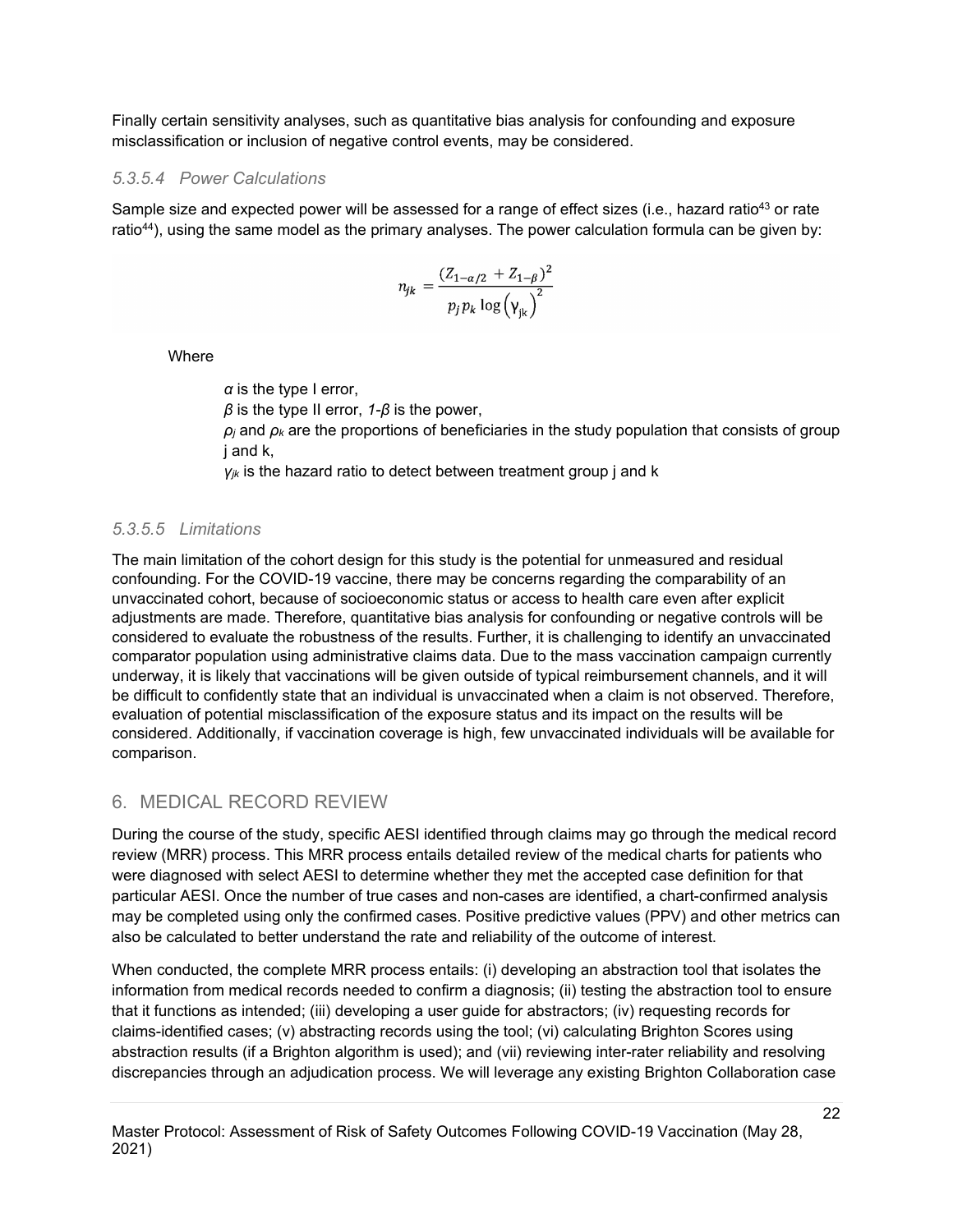Finally certain sensitivity analyses, such as quantitative bias analysis for confounding and exposure misclassification or inclusion of negative control events, may be considered.

## *5.3.5.4 Power Calculations*

Sample size and expected power will be assessed for a range of effect sizes (i.e., hazard ratio<sup>43</sup> or rate ratio<sup>44</sup>), using the same model as the primary analyses. The power calculation formula can be given by:

$$
n_{jk} = \frac{(Z_{1-\alpha/2} + Z_{1-\beta})^2}{p_j p_k \log(\gamma_{jk})^2}
$$

Where

*α* is the type I error, *β* is the type II error, *1-β* is the power,  $\rho_i$  and  $\rho_k$  are the proportions of beneficiaries in the study population that consists of group j and k, *γjk* is the hazard ratio to detect between treatment group j and k

# *5.3.5.5 Limitations*

The main limitation of the cohort design for this study is the potential for unmeasured and residual confounding. For the COVID-19 vaccine, there may be concerns regarding the comparability of an unvaccinated cohort, because of socioeconomic status or access to health care even after explicit adjustments are made. Therefore, quantitative bias analysis for confounding or negative controls will be considered to evaluate the robustness of the results. Further, it is challenging to identify an unvaccinated comparator population using administrative claims data. Due to the mass vaccination campaign currently underway, it is likely that vaccinations will be given outside of typical reimbursement channels, and it will be difficult to confidently state that an individual is unvaccinated when a claim is not observed. Therefore, evaluation of potential misclassification of the exposure status and its impact on the results will be considered. Additionally, if vaccination coverage is high, few unvaccinated individuals will be available for comparison.

# <span id="page-21-0"></span>6. MEDICAL RECORD REVIEW

During the course of the study, specific AESI identified through claims may go through the medical record review (MRR) process. This MRR process entails detailed review of the medical charts for patients who were diagnosed with select AESI to determine whether they met the accepted case definition for that particular AESI. Once the number of true cases and non-cases are identified, a chart-confirmed analysis may be completed using only the confirmed cases. Positive predictive values (PPV) and other metrics can also be calculated to better understand the rate and reliability of the outcome of interest.

When conducted, the complete MRR process entails: (i) developing an abstraction tool that isolates the information from medical records needed to confirm a diagnosis; (ii) testing the abstraction tool to ensure that it functions as intended; (iii) developing a user guide for abstractors; (iv) requesting records for claims-identified cases; (v) abstracting records using the tool; (vi) calculating Brighton Scores using abstraction results (if a Brighton algorithm is used); and (vii) reviewing inter-rater reliability and resolving discrepancies through an adjudication process. We will leverage any existing Brighton Collaboration case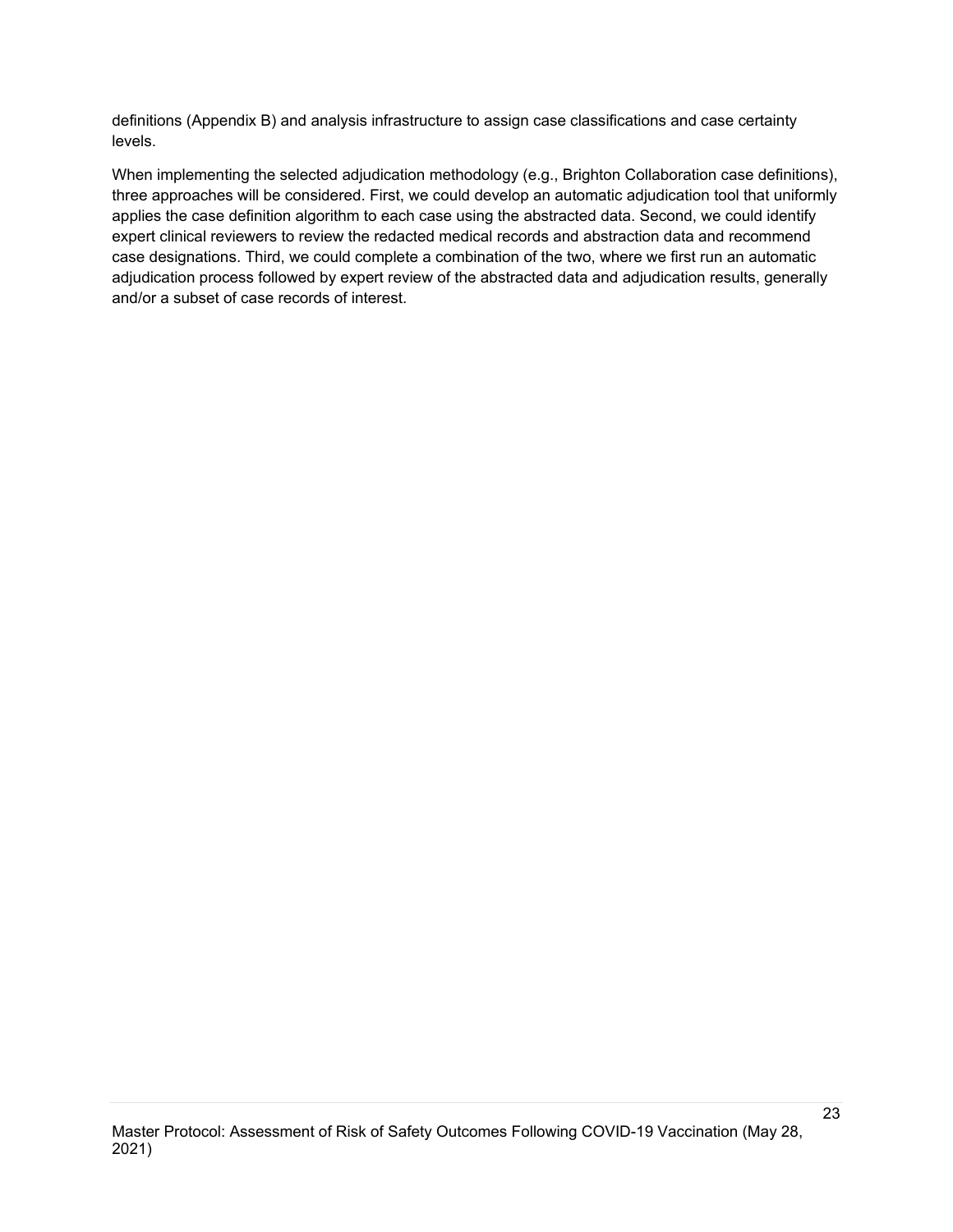definitions (Appendix B) and analysis infrastructure to assign case classifications and case certainty levels.

When implementing the selected adjudication methodology (e.g., Brighton Collaboration case definitions), three approaches will be considered. First, we could develop an automatic adjudication tool that uniformly applies the case definition algorithm to each case using the abstracted data. Second, we could identify expert clinical reviewers to review the redacted medical records and abstraction data and recommend case designations. Third, we could complete a combination of the two, where we first run an automatic adjudication process followed by expert review of the abstracted data and adjudication results, generally and/or a subset of case records of interest.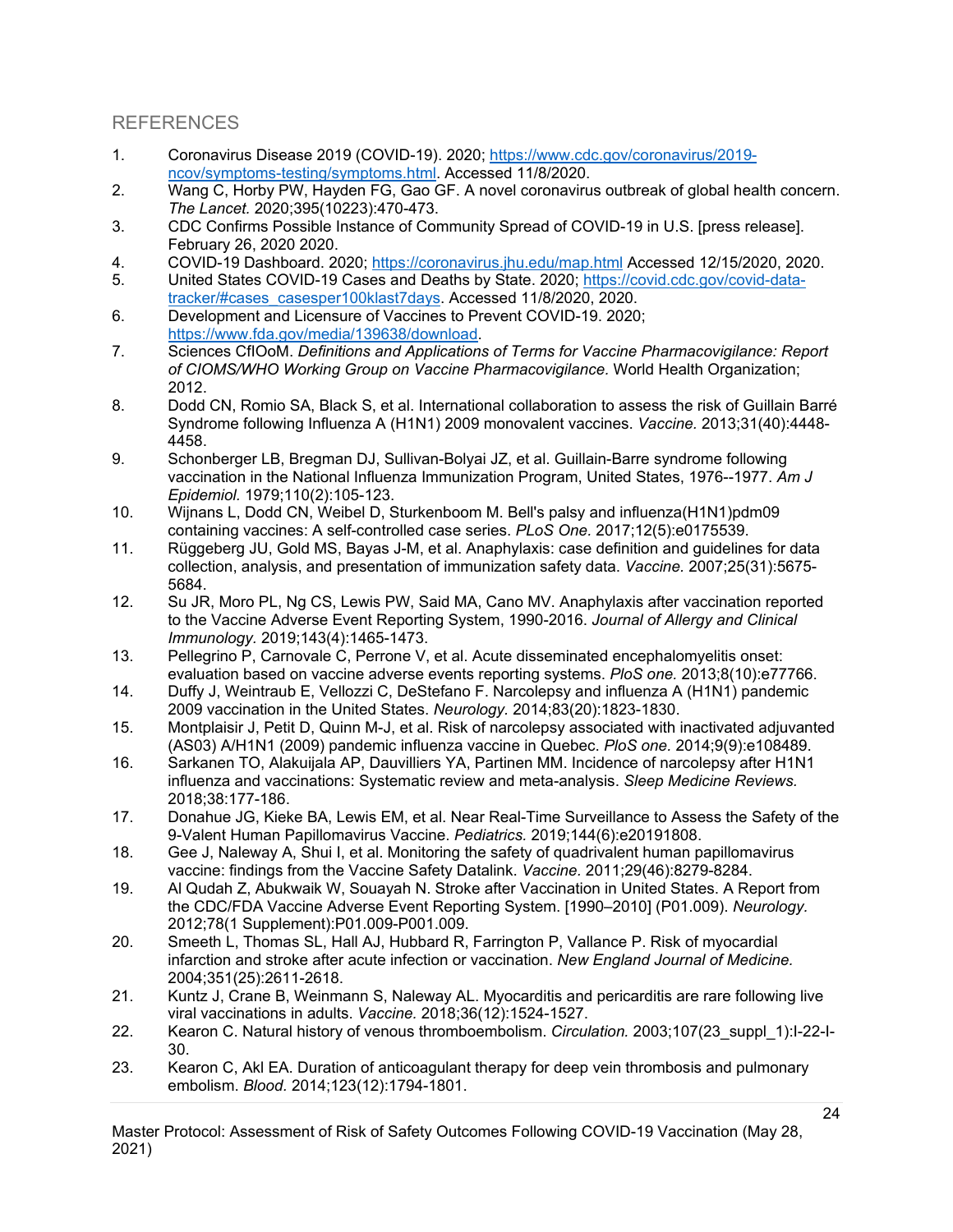# <span id="page-23-0"></span>REFERENCES

- 1. [Coronavirus Disease 2019 \(COVID-19\). 2020; https://www.cdc.gov/coronavirus/2019](https://www.cdc.gov/coronavirus/2019-ncov/symptoms-testing/symptoms.html) ncov/symptoms-testing/symptoms.html. Accessed 11/8/2020.
- 2. Wang C, Horby PW, Hayden FG, Gao GF. A novel coronavirus outbreak of global health concern. *The Lancet.* 2020;395(10223):470-473.
- 3. CDC Confirms Possible Instance of Community Spread of COVID-19 in U.S. [press release]. February 26, 2020 2020.
- 4. COVID-19 Dashboard. 2020;<https://coronavirus.jhu.edu/map.html> Accessed 12/15/2020, 2020.
- 5. [United States COVID-19 Cases and Deaths by State. 2020; https://covid.cdc.gov/covid-data](https://covid.cdc.gov/covid-data-tracker/#cases_casesper100klast7days)tracker/#cases\_casesper100klast7days. Accessed 11/8/2020, 2020.
- 6. Development and Licensure of Vaccines to Prevent COVID-19. 2020; [https://www.fda.gov/media/139638/download.](https://www.fda.gov/media/139638/download)
- 7. Sciences CfIOoM. *Definitions and Applications of Terms for Vaccine Pharmacovigilance: Report of CIOMS/WHO Working Group on Vaccine Pharmacovigilance.* World Health Organization; 2012.
- 8. Dodd CN, Romio SA, Black S, et al. International collaboration to assess the risk of Guillain Barré Syndrome following Influenza A (H1N1) 2009 monovalent vaccines. *Vaccine.* 2013;31(40):4448- 4458.
- 9. Schonberger LB, Bregman DJ, Sullivan-Bolyai JZ, et al. Guillain-Barre syndrome following vaccination in the National Influenza Immunization Program, United States, 1976--1977. *Am J Epidemiol.* 1979;110(2):105-123.
- 10. Wijnans L, Dodd CN, Weibel D, Sturkenboom M. Bell's palsy and influenza(H1N1)pdm09 containing vaccines: A self-controlled case series. *PLoS One.* 2017;12(5):e0175539.
- 11. Rüggeberg JU, Gold MS, Bayas J-M, et al. Anaphylaxis: case definition and guidelines for data collection, analysis, and presentation of immunization safety data. *Vaccine.* 2007;25(31):5675- 5684.
- 12. Su JR, Moro PL, Ng CS, Lewis PW, Said MA, Cano MV. Anaphylaxis after vaccination reported to the Vaccine Adverse Event Reporting System, 1990-2016. *Journal of Allergy and Clinical Immunology.* 2019;143(4):1465-1473.
- 13. Pellegrino P, Carnovale C, Perrone V, et al. Acute disseminated encephalomyelitis onset: evaluation based on vaccine adverse events reporting systems. *PloS one.* 2013;8(10):e77766.
- 14. Duffy J, Weintraub E, Vellozzi C, DeStefano F. Narcolepsy and influenza A (H1N1) pandemic 2009 vaccination in the United States. *Neurology.* 2014;83(20):1823-1830.
- 15. Montplaisir J, Petit D, Quinn M-J, et al. Risk of narcolepsy associated with inactivated adjuvanted (AS03) A/H1N1 (2009) pandemic influenza vaccine in Quebec. *PloS one.* 2014;9(9):e108489.
- 16. Sarkanen TO, Alakuijala AP, Dauvilliers YA, Partinen MM. Incidence of narcolepsy after H1N1 influenza and vaccinations: Systematic review and meta-analysis. *Sleep Medicine Reviews.*  2018;38:177-186.
- 17. Donahue JG, Kieke BA, Lewis EM, et al. Near Real-Time Surveillance to Assess the Safety of the 9-Valent Human Papillomavirus Vaccine. *Pediatrics.* 2019;144(6):e20191808.
- 18. Gee J, Naleway A, Shui I, et al. Monitoring the safety of quadrivalent human papillomavirus vaccine: findings from the Vaccine Safety Datalink. *Vaccine.* 2011;29(46):8279-8284.
- 19. Al Qudah Z, Abukwaik W, Souayah N. Stroke after Vaccination in United States. A Report from the CDC/FDA Vaccine Adverse Event Reporting System. [1990–2010] (P01.009). *Neurology.*  2012;78(1 Supplement):P01.009-P001.009.
- 20. Smeeth L, Thomas SL, Hall AJ, Hubbard R, Farrington P, Vallance P. Risk of myocardial infarction and stroke after acute infection or vaccination. *New England Journal of Medicine.*  2004;351(25):2611-2618.
- 21. Kuntz J, Crane B, Weinmann S, Naleway AL. Myocarditis and pericarditis are rare following live viral vaccinations in adults. *Vaccine.* 2018;36(12):1524-1527.
- 22. Kearon C. Natural history of venous thromboembolism. *Circulation.* 2003;107(23\_suppl\_1):I-22-I-30.
- 23. Kearon C, Akl EA. Duration of anticoagulant therapy for deep vein thrombosis and pulmonary embolism. *Blood.* 2014;123(12):1794-1801.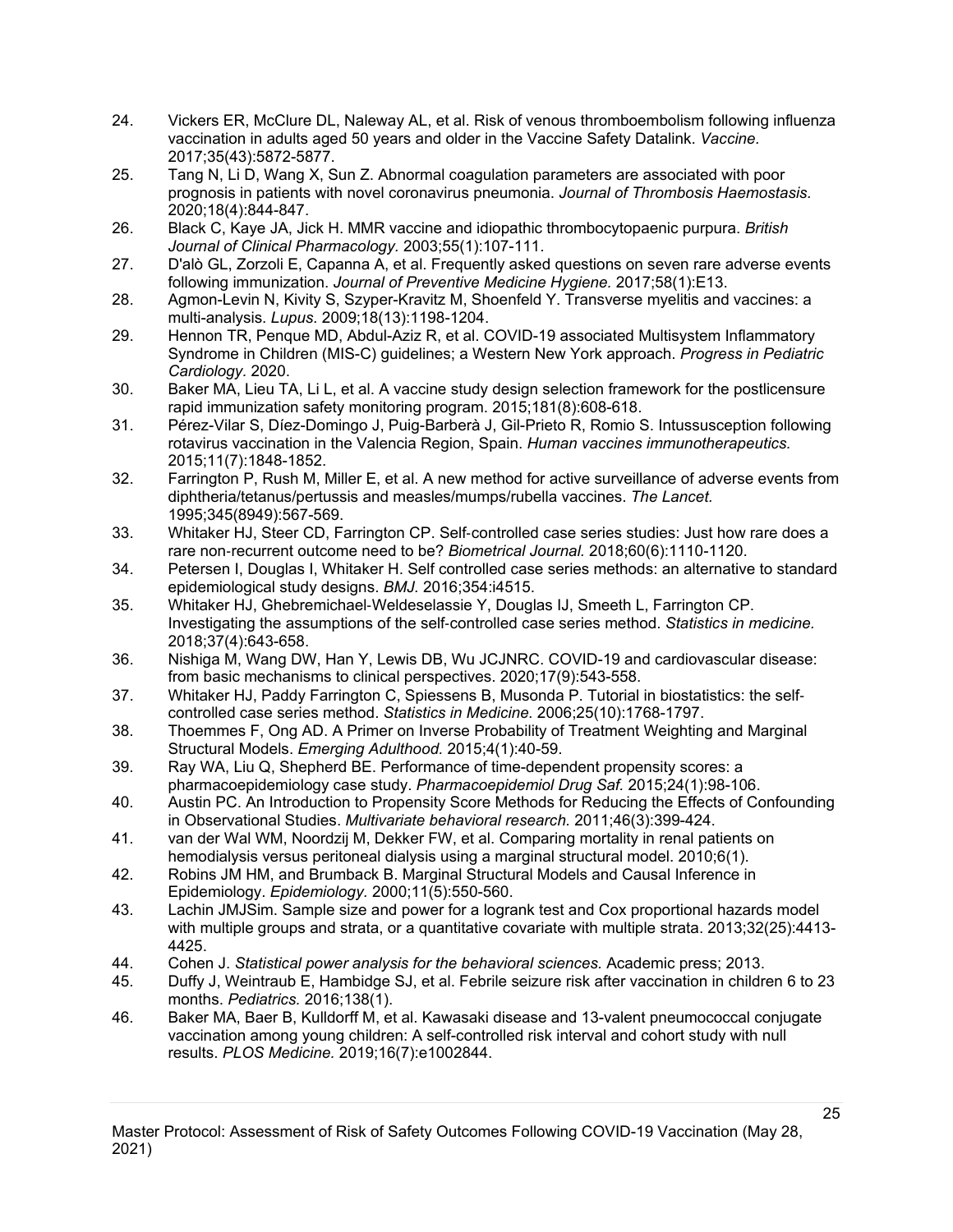- 24. Vickers ER, McClure DL, Naleway AL, et al. Risk of venous thromboembolism following influenza vaccination in adults aged 50 years and older in the Vaccine Safety Datalink. *Vaccine.*  2017;35(43):5872-5877.
- 25. Tang N, Li D, Wang X, Sun Z. Abnormal coagulation parameters are associated with poor prognosis in patients with novel coronavirus pneumonia. *Journal of Thrombosis Haemostasis.*  2020;18(4):844-847.
- 26. Black C, Kaye JA, Jick H. MMR vaccine and idiopathic thrombocytopaenic purpura. *British Journal of Clinical Pharmacology.* 2003;55(1):107-111.
- 27. D'alò GL, Zorzoli E, Capanna A, et al. Frequently asked questions on seven rare adverse events following immunization. *Journal of Preventive Medicine Hygiene.* 2017;58(1):E13.
- 28. Agmon-Levin N, Kivity S, Szyper-Kravitz M, Shoenfeld Y. Transverse myelitis and vaccines: a multi-analysis. *Lupus.* 2009;18(13):1198-1204.
- 29. Hennon TR, Penque MD, Abdul-Aziz R, et al. COVID-19 associated Multisystem Inflammatory Syndrome in Children (MIS-C) guidelines; a Western New York approach. *Progress in Pediatric Cardiology.* 2020.
- 30. Baker MA, Lieu TA, Li L, et al. A vaccine study design selection framework for the postlicensure rapid immunization safety monitoring program. 2015;181(8):608-618.
- 31. Pérez-Vilar S, Díez-Domingo J, Puig-Barberà J, Gil-Prieto R, Romio S. Intussusception following rotavirus vaccination in the Valencia Region, Spain. *Human vaccines immunotherapeutics.*  2015;11(7):1848-1852.
- 32. Farrington P, Rush M, Miller E, et al. A new method for active surveillance of adverse events from diphtheria/tetanus/pertussis and measles/mumps/rubella vaccines. *The Lancet.*  1995;345(8949):567-569.
- 33. Whitaker HJ, Steer CD, Farrington CP. Self‐controlled case series studies: Just how rare does a rare non‐recurrent outcome need to be? *Biometrical Journal.* 2018;60(6):1110-1120.
- 34. Petersen I, Douglas I, Whitaker H. Self controlled case series methods: an alternative to standard epidemiological study designs. *BMJ.* 2016;354:i4515.
- 35. Whitaker HJ, Ghebremichael‐Weldeselassie Y, Douglas IJ, Smeeth L, Farrington CP. Investigating the assumptions of the self‐controlled case series method. *Statistics in medicine.*  2018;37(4):643-658.
- 36. Nishiga M, Wang DW, Han Y, Lewis DB, Wu JCJNRC. COVID-19 and cardiovascular disease: from basic mechanisms to clinical perspectives. 2020;17(9):543-558.
- 37. Whitaker HJ, Paddy Farrington C, Spiessens B, Musonda P. Tutorial in biostatistics: the self‐ controlled case series method. *Statistics in Medicine.* 2006;25(10):1768-1797.
- 38. Thoemmes F, Ong AD. A Primer on Inverse Probability of Treatment Weighting and Marginal Structural Models. *Emerging Adulthood.* 2015;4(1):40-59.
- 39. Ray WA, Liu Q, Shepherd BE. Performance of time-dependent propensity scores: a pharmacoepidemiology case study. *Pharmacoepidemiol Drug Saf.* 2015;24(1):98-106.
- 40. Austin PC. An Introduction to Propensity Score Methods for Reducing the Effects of Confounding in Observational Studies. *Multivariate behavioral research.* 2011;46(3):399-424.
- 41. van der Wal WM, Noordzij M, Dekker FW, et al. Comparing mortality in renal patients on hemodialysis versus peritoneal dialysis using a marginal structural model. 2010;6(1).
- 42. Robins JM HM, and Brumback B. Marginal Structural Models and Causal Inference in Epidemiology. *Epidemiology.* 2000;11(5):550-560.
- 43. Lachin JMJSim. Sample size and power for a logrank test and Cox proportional hazards model with multiple groups and strata, or a quantitative covariate with multiple strata. 2013;32(25):4413- 4425.
- 44. Cohen J. *Statistical power analysis for the behavioral sciences.* Academic press; 2013.
- 45. Duffy J, Weintraub E, Hambidge SJ, et al. Febrile seizure risk after vaccination in children 6 to 23 months. *Pediatrics.* 2016;138(1).
- 46. Baker MA, Baer B, Kulldorff M, et al. Kawasaki disease and 13-valent pneumococcal conjugate vaccination among young children: A self-controlled risk interval and cohort study with null results. *PLOS Medicine.* 2019;16(7):e1002844.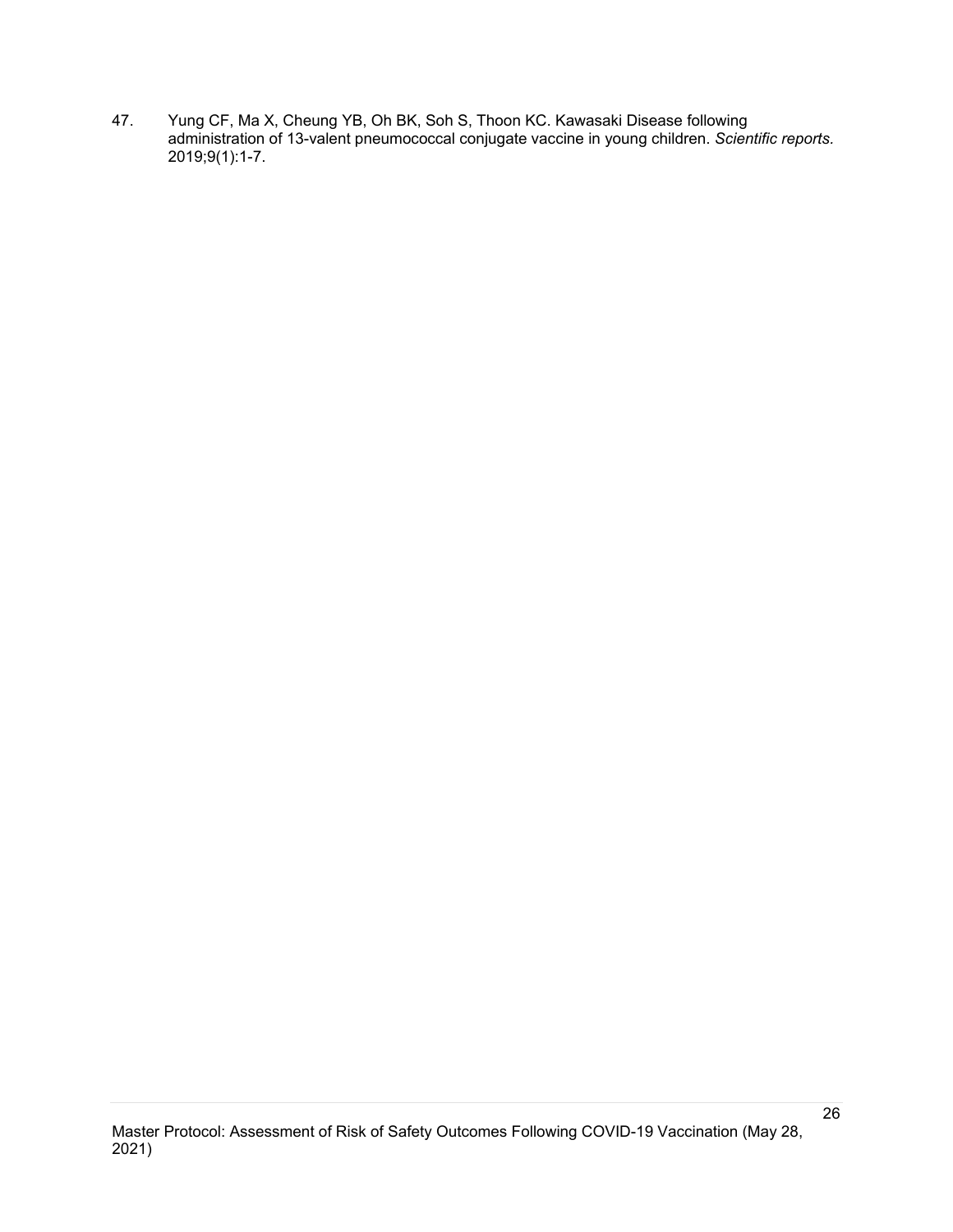47. Yung CF, Ma X, Cheung YB, Oh BK, Soh S, Thoon KC. Kawasaki Disease following administration of 13-valent pneumococcal conjugate vaccine in young children. *Scientific reports.*  2019;9(1):1-7.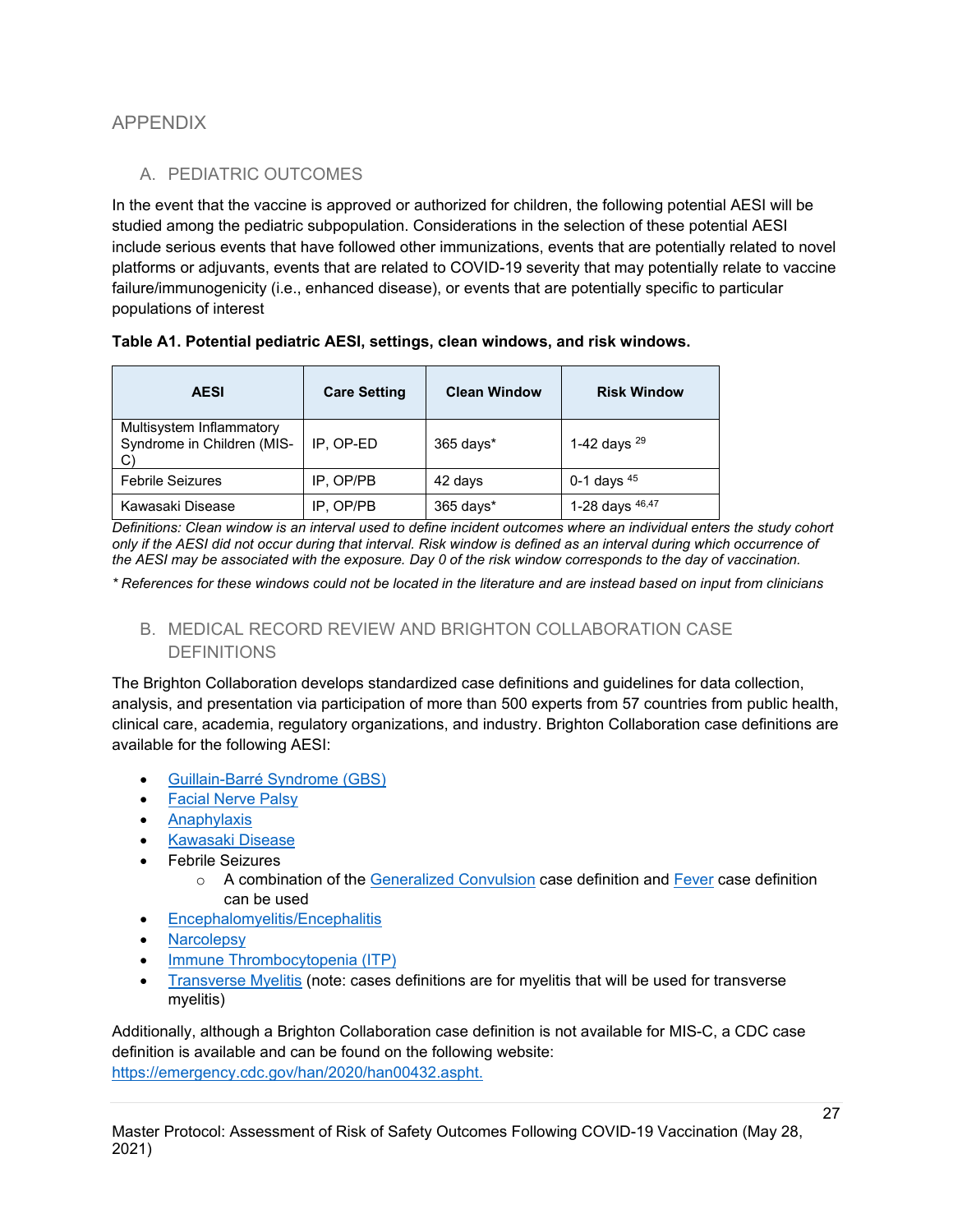# <span id="page-26-1"></span><span id="page-26-0"></span>APPENDIX

# A. PEDIATRIC OUTCOMES

In the event that the vaccine is approved or authorized for children, the following potential AESI will be studied among the pediatric subpopulation. Considerations in the selection of these potential AESI include serious events that have followed other immunizations, events that are potentially related to novel platforms or adjuvants, events that are related to COVID-19 severity that may potentially relate to vaccine failure/immunogenicity (i.e., enhanced disease), or events that are potentially specific to particular populations of interest

| <b>AESI</b>                                            | <b>Care Setting</b> | <b>Clean Window</b> | <b>Risk Window</b> |
|--------------------------------------------------------|---------------------|---------------------|--------------------|
| Multisystem Inflammatory<br>Syndrome in Children (MIS- | IP. OP-ED           | 365 days*           | 1-42 days $^{29}$  |
| <b>Febrile Seizures</b>                                | IP, OP/PB           | 42 days             | 0-1 days $45$      |
| Kawasaki Disease                                       | IP, OP/PB           | 365 days*           | 1-28 days 46,47    |

*Definitions: Clean window is an interval used to define incident outcomes where an individual enters the study cohort only if the AESI did not occur during that interval. Risk window is defined as an interval during which occurrence of the AESI may be associated with the exposure. Day 0 of the risk window corresponds to the day of vaccination.* 

<span id="page-26-2"></span>*\* References for these windows could not be located in the literature and are instead based on input from clinicians*

B. MEDICAL RECORD REVIEW AND BRIGHTON COLLABORATION CASE DEFINITIONS

The Brighton Collaboration develops standardized case definitions and guidelines for data collection, analysis, and presentation via participation of more than 500 experts from 57 countries from public health, clinical care, academia, regulatory organizations, and industry. Brighton Collaboration case definitions are available for the following AESI:

- [Guillain-Barré Syndrome \(GBS\)](https://www.sciencedirect.com/science/article/pii/S0264410X1000798X)
- [Facial Nerve Palsy](https://www.sciencedirect.com/science/article/pii/S0264410X16303139)
- [Anaphylaxis](https://www.sciencedirect.com/science/article/pii/S0264410X07002642)
- [Kawasaki Disease](https://www.sciencedirect.com/science/article/pii/S0264410X16308386)
- Febrile Seizures
	- o A combination of the [Generalized Convulsion](https://www.sciencedirect.com/science/article/pii/S0264410X03006613) case definition and [Fever](https://www.sciencedirect.com/science/article/pii/S0264410X03006601) case definition can be used
- [Encephalomyelitis/Encephalitis](https://www.sciencedirect.com/science/article/pii/S0264410X07004975)
- **[Narcolepsy](https://www.sciencedirect.com/science/article/pii/S0264410X12017811)**
- [Immune Thrombocytopenia \(ITP\)](https://pubmed.ncbi.nlm.nih.gov/17493712/)
- [Transverse Myelitis](https://www.sciencedirect.com/science/article/pii/S0264410X07004975) (note: cases definitions are for myelitis that will be used for transverse myelitis)

Additionally, although a Brighton Collaboration case definition is not available for MIS-C, a CDC case definition is available and can be found on the following website: [https://emergency.cdc.gov/han/2020/han00432.aspht.](https://emergency.cdc.gov/han/2020/han00432.aspht)